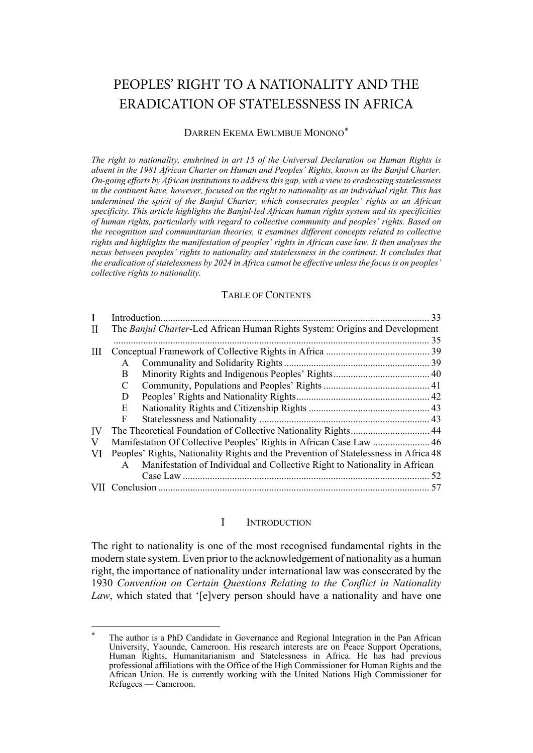# PEOPLES' RIGHT TO A NATIONALITY AND THE ERADICATION OF STATELESSNESS IN AFRICA

### DARREN EKEMA EWUMBUE MONONO[\\*](#page-0-1)

*The right to nationality, enshrined in art 15 of the Universal Declaration on Human Rights is absent in the 1981 African Charter on Human and Peoples' Rights, known as the Banjul Charter. On-going efforts by African institutions to address this gap, with a view to eradicating statelessness in the continent have, however, focused on the right to nationality as an individual right. This has undermined the spirit of the Banjul Charter, which consecrates peoples' rights as an African specificity. This article highlights the Banjul-led African human rights system and its specificities of human rights, particularly with regard to collective community and peoples' rights. Based on the recognition and communitarian theories, it examines different concepts related to collective rights and highlights the manifestation of peoples' rights in African case law. It then analyses the nexus between peoples' rights to nationality and statelessness in the continent. It concludes that the eradication of statelessness by 2024 in Africa cannot be effective unless the focus is on peoples' collective rights to nationality.*

#### TABLE OF CONTENTS

| $\mathbf{I}$ |                                                                                      |                                                                            | 33 |
|--------------|--------------------------------------------------------------------------------------|----------------------------------------------------------------------------|----|
| H            | The Banjul Charter-Led African Human Rights System: Origins and Development          |                                                                            |    |
|              |                                                                                      |                                                                            |    |
| Ш            |                                                                                      |                                                                            |    |
|              | A                                                                                    |                                                                            |    |
|              | B                                                                                    |                                                                            |    |
|              | C                                                                                    |                                                                            |    |
|              | D                                                                                    |                                                                            |    |
|              | E                                                                                    |                                                                            |    |
|              | F                                                                                    |                                                                            |    |
| IV           |                                                                                      |                                                                            |    |
| V            |                                                                                      | Manifestation Of Collective Peoples' Rights in African Case Law  46        |    |
| VI           | Peoples' Rights, Nationality Rights and the Prevention of Statelessness in Africa 48 |                                                                            |    |
|              | $\mathsf{A}$                                                                         | Manifestation of Individual and Collective Right to Nationality in African |    |
|              |                                                                                      |                                                                            |    |
|              |                                                                                      |                                                                            |    |

#### $\mathbf I$ **INTRODUCTION**

<span id="page-0-0"></span>The right to nationality is one of the most recognised fundamental rights in the modern state system. Even prior to the acknowledgement of nationality as a human right, the importance of nationality under international law was consecrated by the 1930 *Convention on Certain Questions Relating to the Conflict in Nationality Law*, which stated that '[e]very person should have a nationality and have one

<span id="page-0-1"></span>The author is a PhD Candidate in Governance and Regional Integration in the Pan African University, Yaounde, Cameroon. His research interests are on Peace Support Operations, Human Rights, Humanitarianism and Statelessness in Africa. He has had previous professional affiliations with the Office of the High Commissioner for Human Rights and the African Union. He is currently working with the United Nations High Commissioner for Refugees — Cameroon.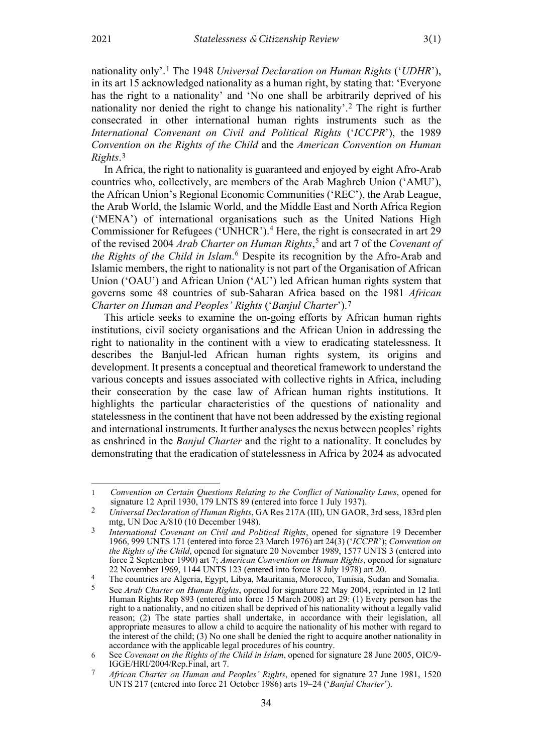nationality only'.[1](#page-1-0) The 1948 *Universal Declaration on Human Rights* ('*UDHR*'), in its art 15 acknowledged nationality as a human right, by stating that: 'Everyone has the right to a nationality' and 'No one shall be arbitrarily deprived of his nationality nor denied the right to change his nationality'.[2](#page-1-1) The right is further consecrated in other international human rights instruments such as the *International Convenant on Civil and Political Rights* ('*ICCPR*'), the 1989 *Convention on the Rights of the Child* and the *American Convention on Human Rights*.[3](#page-1-2)

<span id="page-1-7"></span>In Africa, the right to nationality is guaranteed and enjoyed by eight Afro-Arab countries who, collectively, are members of the Arab Maghreb Union ('AMU'), the African Union's Regional Economic Communities ('REC'), the Arab League, the Arab World, the Islamic World, and the Middle East and North Africa Region ('MENA') of international organisations such as the United Nations High Commissioner for Refugees ('UNHCR'). [4](#page-1-3) Here, the right is consecrated in art 29 of the revised 2004 *Arab Charter on Human Rights*, [5](#page-1-4) and art 7 of the *Covenant of the Rights of the Child in Islam*. [6](#page-1-5) Despite its recognition by the Afro-Arab and Islamic members, the right to nationality is not part of the Organisation of African Union ('OAU') and African Union ('AU') led African human rights system that governs some 48 countries of sub-Saharan Africa based on the 1981 *African Charter on Human and Peoples' Rights* ('*Banjul Charter*')[.7](#page-1-6)

<span id="page-1-8"></span>This article seeks to examine the on-going efforts by African human rights institutions, civil society organisations and the African Union in addressing the right to nationality in the continent with a view to eradicating statelessness. It describes the Banjul-led African human rights system, its origins and development. It presents a conceptual and theoretical framework to understand the various concepts and issues associated with collective rights in Africa, including their consecration by the case law of African human rights institutions. It highlights the particular characteristics of the questions of nationality and statelessness in the continent that have not been addressed by the existing regional and international instruments. It further analyses the nexus between peoples' rights as enshrined in the *Banjul Charter* and the right to a nationality. It concludes by demonstrating that the eradication of statelessness in Africa by 2024 as advocated

<span id="page-1-0"></span><sup>1</sup> *Convention on Certain Questions Relating to the Conflict of Nationality Laws*, opened for signature 12 April 1930, 179 LNTS 89 (entered into force 1 July 1937).

<span id="page-1-1"></span><sup>2</sup> *Universal Declaration of Human Rights*, GA Res 217A (III), UN GAOR, 3rd sess, 183rd plen mtg, UN Doc A/810 (10 December 1948).

<span id="page-1-2"></span><sup>3</sup> *International Covenant on Civil and Political Rights*, opened for signature 19 December 1966, 999 UNTS 171 (entered into force 23 March 1976) art 24(3) ('*ICCPR*'); *Convention on the Rights of the Child*, opened for signature 20 November 1989, 1577 UNTS 3 (entered into force 2 September 1990) art 7; *American Convention on Human Rights*, opened for signature 22 November [1969, 1144 UNTS 123](http://classic.austlii.edu.au/cgi-bin/LawCite?cit=1969%201144%20UNTS%20123) (entered into force 18 July 1978) art 20.

<span id="page-1-4"></span><span id="page-1-3"></span><sup>4</sup> The countries are Algeria, Egypt, Libya, Mauritania, Morocco, Tunisia, Sudan and Somalia.

<sup>5</sup> See *Arab Charter on Human Rights*, opened for signature 22 May 2004, reprinted in 12 Intl Human Rights Rep 893 (entered into force 15 March 2008) art 29: (1) Every person has the right to a nationality, and no citizen shall be deprived of his nationality without a legally valid reason; (2) The state parties shall undertake, in accordance with their legislation, all appropriate measures to allow a child to acquire the nationality of his mother with regard to the interest of the child; (3) No one shall be denied the right to acquire another nationality in accordance with the applicable legal procedures of his country.

<span id="page-1-5"></span><sup>6</sup> See *Covenant on the Rights of the Child in Islam*, opened for signature 28 June 2005, OIC/9- IGGE/HRI/2004/Rep.Final, art 7.

<span id="page-1-6"></span><sup>7</sup> *African Charter on Human and Peoples' Rights*, opened for signature 27 June 1981, 1520 UNTS 217 (entered into force 21 October 1986) arts 19–24 ('*Banjul Charter*').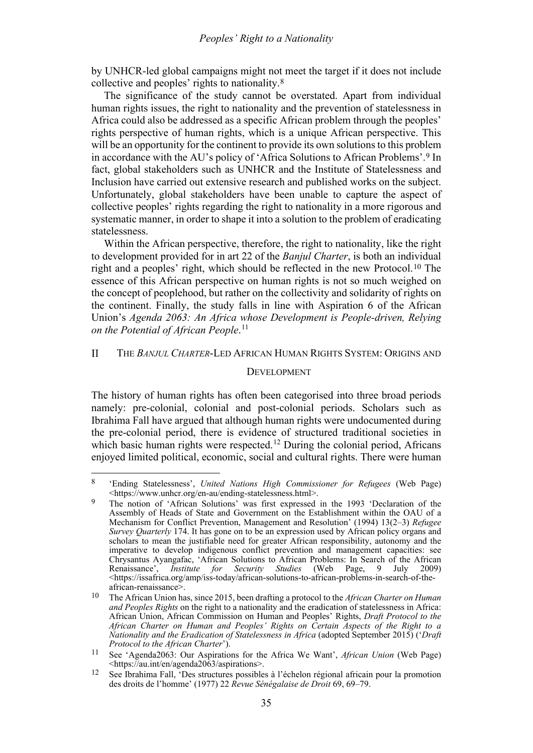by UNHCR-led global campaigns might not meet the target if it does not include collective and peoples' rights to nationality.[8](#page-2-1)

The significance of the study cannot be overstated. Apart from individual human rights issues, the right to nationality and the prevention of statelessness in Africa could also be addressed as a specific African problem through the peoples' rights perspective of human rights, which is a unique African perspective. This will be an opportunity for the continent to provide its own solutions to this problem in accordance with the AU's policy of 'Africa Solutions to African Problems'.[9](#page-2-2) In fact, global stakeholders such as UNHCR and the Institute of Statelessness and Inclusion have carried out extensive research and published works on the subject. Unfortunately, global stakeholders have been unable to capture the aspect of collective peoples' rights regarding the right to nationality in a more rigorous and systematic manner, in order to shape it into a solution to the problem of eradicating statelessness.

Within the African perspective, therefore, the right to nationality, like the right to development provided for in art 22 of the *Banjul Charter*, is both an individual right and a peoples' right, which should be reflected in the new Protocol.[10](#page-2-3) The essence of this African perspective on human rights is not so much weighed on the concept of peoplehood, but rather on the collectivity and solidarity of rights on the continent. Finally, the study falls in line with Aspiration 6 of the African Union's *Agenda 2063: An Africa whose Development is People-driven, Relying on the Potential of African People*. [11](#page-2-4)

#### <span id="page-2-0"></span>THE *BANJUL CHARTER*-LED AFRICAN HUMAN RIGHTS SYSTEM: ORIGINS AND  $\rm II$

### <span id="page-2-6"></span>DEVELOPMENT

The history of human rights has often been categorised into three broad periods namely: pre-colonial, colonial and post-colonial periods. Scholars such as Ibrahima Fall have argued that although human rights were undocumented during the pre-colonial period, there is evidence of structured traditional societies in which basic human rights were respected.<sup>[12](#page-2-5)</sup> During the colonial period, Africans enjoyed limited political, economic, social and cultural rights. There were human

<span id="page-2-1"></span><sup>8</sup> 'Ending Statelessness', *United Nations High Commissioner for Refugees* (Web Page) <https://www.unhcr.org/en-au/ending-statelessness.html>.

<span id="page-2-2"></span>The notion of 'African Solutions' was first expressed in the 1993 'Declaration of the Assembly of Heads of State and Government on the Establishment within the OAU of a Mechanism for Conflict Prevention, Management and Resolution' (1994) 13(2–3) *Refugee Survey Quarterly* 174. It has gone on to be an expression used by African policy organs and scholars to mean the justifiable need for greater African responsibility, autonomy and the imperative to develop indigenous conflict prevention and management capacities: see Chrysantus Ayangafac, 'African Solutions to African Problems: In Search of the African Renaissance', *Institute for Security Studies* (Web Page, 9 July 2009) <https://issafrica.org/amp/iss-today/african-solutions-to-african-problems-in-search-of-theafrican-renaissance>.

<span id="page-2-3"></span><sup>10</sup> The African Union has, since 2015, been drafting a protocol to the *African Charter on Human and Peoples Rights* on the right to a nationality and the eradication of statelessness in Africa: African Union, African Commission on Human and Peoples' Rights, *Draft Protocol to the African Charter on Human and Peoples' Rights on Certain Aspects of the Right to a Nationality and the Eradication of Statelessness in Africa* (adopted September 2015) ('*Draft Protocol to the African Charter*').

<span id="page-2-4"></span><sup>11</sup> See 'Agenda2063: Our Aspirations for the Africa We Want', *African Union* (Web Page) [<https://au.int/en/agenda2063/aspirations>](https://au.int/en/agenda2063/aspirations).

<span id="page-2-5"></span><sup>12</sup> See Ibrahima Fall, 'Des structures possibles à l'échelon régional africain pour la promotion des droits de l'homme' (1977) 22 *Revue Sénégalaise de Droit* 69, 69–79.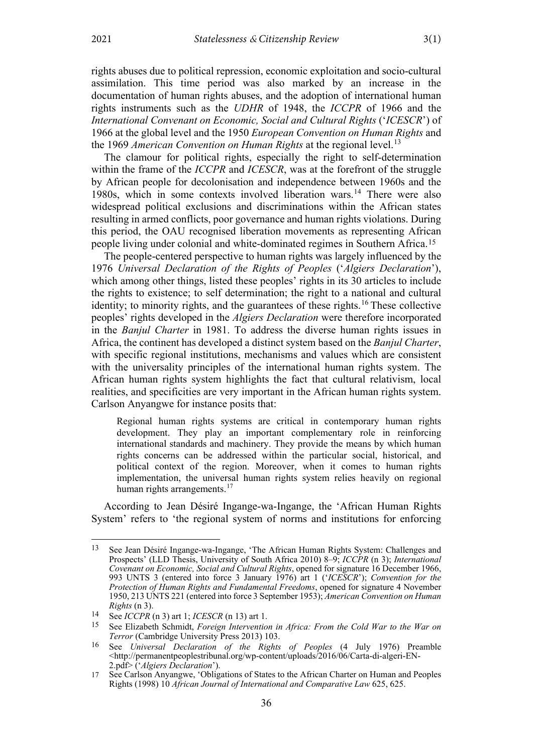rights abuses due to political repression, economic exploitation and socio-cultural assimilation. This time period was also marked by an increase in the documentation of human rights abuses, and the adoption of international human rights instruments such as the *UDHR* of 1948, the *ICCPR* of 1966 and the *International Convenant on Economic, Social and Cultural Rights* ('*ICESCR*') of 1966 at the global level and the 1950 *European Convention on Human Rights* and the 1969 *American Convention on Human Rights* at the regional level.<sup>[13](#page-3-1)</sup>

<span id="page-3-0"></span>The clamour for political rights, especially the right to self-determination within the frame of the *ICCPR* and *ICESCR*, was at the forefront of the struggle by African people for decolonisation and independence between 1960s and the 1980s, which in some contexts involved liberation wars.<sup>[14](#page-3-2)</sup> There were also widespread political exclusions and discriminations within the African states resulting in armed conflicts, poor governance and human rights violations. During this period, the OAU recognised liberation movements as representing African people living under colonial and white-dominated regimes in Southern Africa.[15](#page-3-3)

The people-centered perspective to human rights was largely influenced by the 1976 *Universal Declaration of the Rights of Peoples* ('*Algiers Declaration*'), which among other things, listed these peoples' rights in its 30 articles to include the rights to existence; to self determination; the right to a national and cultural identity; to minority rights, and the guarantees of these rights.<sup>[16](#page-3-4)</sup> These collective peoples' rights developed in the *Algiers Declaration* were therefore incorporated in the *Banjul Charter* in 1981. To address the diverse human rights issues in Africa, the continent has developed a distinct system based on the *Banjul Charter*, with specific regional institutions, mechanisms and values which are consistent with the universality principles of the international human rights system. The African human rights system highlights the fact that cultural relativism, local realities, and specificities are very important in the African human rights system. Carlson Anyangwe for instance posits that:

Regional human rights systems are critical in contemporary human rights development. They play an important complementary role in reinforcing international standards and machinery. They provide the means by which human rights concerns can be addressed within the particular social, historical, and political context of the region. Moreover, when it comes to human rights implementation, the universal human rights system relies heavily on regional human rights arrangements.<sup>[17](#page-3-5)</sup>

According to Jean Désiré Ingange-wa-Ingange, the 'African Human Rights System' refers to 'the regional system of norms and institutions for enforcing

<span id="page-3-1"></span><sup>13</sup> See Jean Désiré Ingange-wa-Ingange, 'The African Human Rights System: Challenges and Prospects' (LLD Thesis, University of South Africa 2010) 8–9; *ICCPR* (n [3\)](#page-1-7); *International Covenant on Economic, Social and Cultural Rights*, opened for signature 16 December 1966, 993 UNTS 3 (entered into force 3 January 1976) art 1 ('*ICESCR*'); *Convention for the Protection of Human Rights and Fundamental Freedoms*, opened for signature 4 November 1950, 213 UNTS 221 (entered into force 3 September 1953); *American Convention on Human Rights* (n [3\)](#page-1-7).

<span id="page-3-3"></span><span id="page-3-2"></span><sup>14</sup> See *ICCPR* (n [3\)](#page-1-7) art 1; *ICESCR* (n [13\)](#page-3-0) art 1.

<sup>15</sup> See Elizabeth Schmidt, *Foreign Intervention in Africa: From the Cold War to the War on Terror* (Cambridge University Press 2013) 103.

<span id="page-3-4"></span><sup>16</sup> See *Universal Declaration of the Rights of Peoples* (4 July 1976) Preamble <http://permanentpeoplestribunal.org/wp-content/uploads/2016/06/Carta-di-algeri-EN-2.pdf> ('*Algiers Declaration*').

<span id="page-3-5"></span><sup>17</sup> See Carlson Anyangwe, 'Obligations of States to the African Charter on Human and Peoples Rights (1998) 10 *African Journal of International and Comparative Law* 625, 625.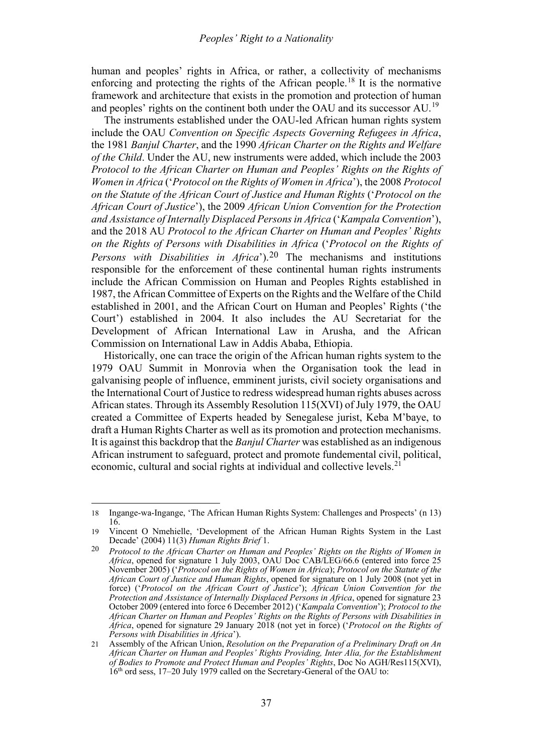human and peoples' rights in Africa, or rather, a collectivity of mechanisms enforcing and protecting the rights of the African people.<sup>[18](#page-4-0)</sup> It is the normative framework and architecture that exists in the promotion and protection of human and peoples' rights on the continent both under the OAU and its successor AU.<sup>[19](#page-4-1)</sup>

The instruments established under the OAU-led African human rights system include the OAU *Convention on Specific Aspects Governing Refugees in Africa*, the 1981 *Banjul Charter*, and the 1990 *African Charter on the Rights and Welfare of the Child*. Under the AU, new instruments were added, which include the 2003 *Protocol to the African Charter on Human and Peoples' Rights on the Rights of Women in Africa* ('*Protocol on the Rights of Women in Africa*'), the 2008 *Protocol on the Statute of the African Court of Justice and Human Rights* ('*Protocol on the African Court of Justice*'), the 2009 *African Union Convention for the Protection and Assistance of Internally Displaced Persons in Africa* ('*Kampala Convention*'), and the 2018 AU *Protocol to the African Charter on Human and Peoples' Rights on the Rights of Persons with Disabilities in Africa* ('*Protocol on the Rights of Persons with Disabilities in Africa*').[20](#page-4-2) The mechanisms and institutions responsible for the enforcement of these continental human rights instruments include the African Commission on Human and Peoples Rights established in 1987, the African Committee of Experts on the Rights and the Welfare of the Child established in 2001, and the African Court on Human and Peoples' Rights ('the Court') established in 2004. It also includes the AU Secretariat for the Development of African International Law in Arusha, and the African Commission on International Law in Addis Ababa, Ethiopia.

Historically, one can trace the origin of the African human rights system to the 1979 OAU Summit in Monrovia when the Organisation took the lead in galvanising people of influence, emminent jurists, civil society organisations and the International Court of Justice to redress widespread human rights abuses across African states. Through its Assembly Resolution 115(XVI) of July 1979, the OAU created a Committee of Experts headed by Senegalese jurist, Keba M'baye, to draft a Human Rights Charter as well as its promotion and protection mechanisms. It is against this backdrop that the *Banjul Charter* was established as an indigenous African instrument to safeguard, protect and promote fundemental civil, political, economic, cultural and social rights at individual and collective levels.<sup>[21](#page-4-3)</sup>

<span id="page-4-0"></span><sup>18</sup> Ingange-wa-Ingange, 'The African Human Rights System: Challenges and Prospects' ([n 13\)](#page-3-0) 16.

<span id="page-4-1"></span><sup>19</sup> Vincent O Nmehielle, 'Development of the African Human Rights System in the Last Decade' (2004) 11(3) *Human Rights Brief* 1.

<span id="page-4-2"></span><sup>20</sup> *Protocol to the African Charter on Human and Peoples' Rights on the Rights of Women in Africa*, opened for signature 1 July 2003, OAU Doc CAB/LEG/66.6 (entered into force 25 November 2005) ('*Protocol on the Rights of Women in Africa*); *Protocol on the Statute of the African Court of Justice and Human Rights*, opened for signature on 1 July 2008 (not yet in force) ('*Protocol on the African Court of Justice*'); *African Union Convention for the Protection and Assistance of Internally Displaced Persons in Africa*, opened for signature 23 October 2009 (entered into force 6 December 2012) ('*Kampala Convention*'); *Protocol to the African Charter on Human and Peoples' Rights on the Rights of Persons with Disabilities in Africa*, opened for signature 29 January 2018 (not yet in force) ('*Protocol on the Rights of Persons with Disabilities in Africa*').

<span id="page-4-3"></span><sup>21</sup> Assembly of the African Union, *Resolution on the Preparation of a Preliminary Draft on An African Charter on Human and Peoples' Rights Providing, Inter Alia, for the Establishment of Bodies to Promote and Protect Human and Peoples' Rights*, Doc No AGH/Res115(XVI),  $16<sup>th</sup>$  ord sess, 17–20 July 1979 called on the Secretary-General of the OAU to: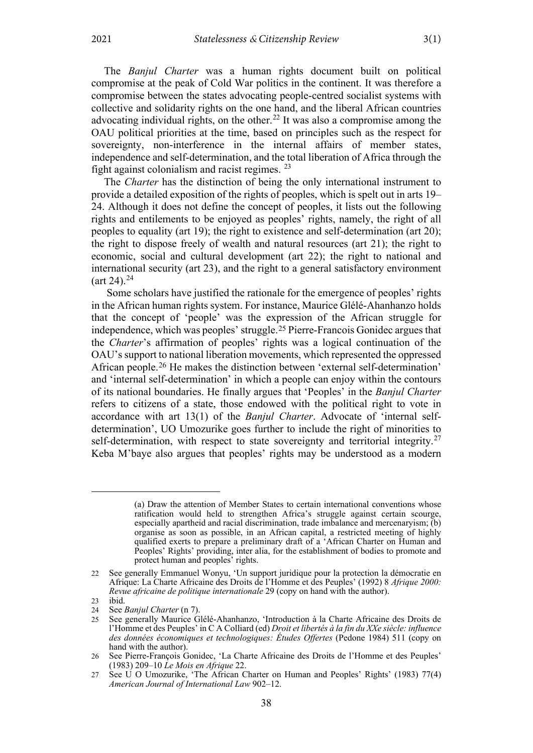The *Banjul Charter* was a human rights document built on political compromise at the peak of Cold War politics in the continent. It was therefore a compromise between the states advocating people-centred socialist systems with collective and solidarity rights on the one hand, and the liberal African countries advocating individual rights, on the other.<sup>[22](#page-5-0)</sup> It was also a compromise among the OAU political priorities at the time, based on principles such as the respect for sovereignty, non-interference in the internal affairs of member states, independence and self-determination, and the total liberation of Africa through the fight against colonialism and racist regimes.  $23$ 

The *Charter* has the distinction of being the only international instrument to provide a detailed exposition of the rights of peoples, which is spelt out in arts 19– 24. Although it does not define the concept of peoples, it lists out the following rights and entilements to be enjoyed as peoples' rights, namely, the right of all peoples to equality (art 19); the right to existence and self-determination (art 20); the right to dispose freely of wealth and natural resources (art 21); the right to economic, social and cultural development (art 22); the right to national and international security (art 23), and the right to a general satisfactory environment  $(art 24).^{24}$  $(art 24).^{24}$  $(art 24).^{24}$ 

<span id="page-5-6"></span>Some scholars have justified the rationale for the emergence of peoples' rights in the African human rights system. For instance, Maurice Glélé-Ahanhanzo holds that the concept of 'people' was the expression of the African struggle for independence, which was peoples' struggle.[25](#page-5-3) Pierre-Francois Gonidec argues that the *Charter*'s affirmation of peoples' rights was a logical continuation of the OAU's support to national liberation movements, which represented the oppressed African people.[26](#page-5-4) He makes the distinction between 'external self-determination' and 'internal self-determination' in which a people can enjoy within the contours of its national boundaries. He finally argues that 'Peoples' in the *Banjul Charter* refers to citizens of a state, those endowed with the political right to vote in accordance with art 13(1) of the *Banjul Charter*. Advocate of 'internal selfdetermination', UO Umozurike goes further to include the right of minorities to self-determination, with respect to state sovereignty and territorial integrity.<sup>[27](#page-5-5)</sup> Keba M'baye also argues that peoples' rights may be understood as a modern

<sup>(</sup>a) Draw the attention of Member States to certain international conventions whose ratification would held to strengthen Africa's struggle against certain scourge, especially apartheid and racial discrimination, trade imbalance and mercenaryism; (b) organise as soon as possible, in an African capital, a restricted meeting of highly qualified exerts to prepare a preliminary draft of a 'African Charter on Human and Peoples' Rights' providing, inter alia, for the establishment of bodies to promote and protect human and peoples' rights.

<span id="page-5-0"></span><sup>22</sup> See generally Emmanuel Wonyu, 'Un support juridique pour la protection la démocratie en Afrique: La Charte Africaine des Droits de l'Homme et des Peuples' (1992) 8 *Afrique 2000: Revue africaine de politique internationale* 29 (copy on hand with the author).

<span id="page-5-1"></span><sup>23</sup> ibid.<br> $24$  See.

<span id="page-5-2"></span>See *Banjul Charter* (n [7\)](#page-1-8).

<span id="page-5-3"></span><sup>25</sup> See generally Maurice Glélé-Ahanhanzo, 'Introduction à la Charte Africaine des Droits de l'Homme et des Peuples' in C A Colliard (ed) *Droit et libertés à la fin du XXe siècle: influence des données économiques et technologiques: Études Offertes* (Pedone 1984) 511 (copy on hand with the author).

<span id="page-5-4"></span><sup>26</sup> See Pierre-François Gonidec, 'La Charte Africaine des Droits de l'Homme et des Peuples' (1983) 209–10 *Le Mois en Afrique* 22.

<span id="page-5-5"></span><sup>27</sup> See U O Umozurike, 'The African Charter on Human and Peoples' Rights' (1983) 77(4) *American Journal of International Law* 902–12.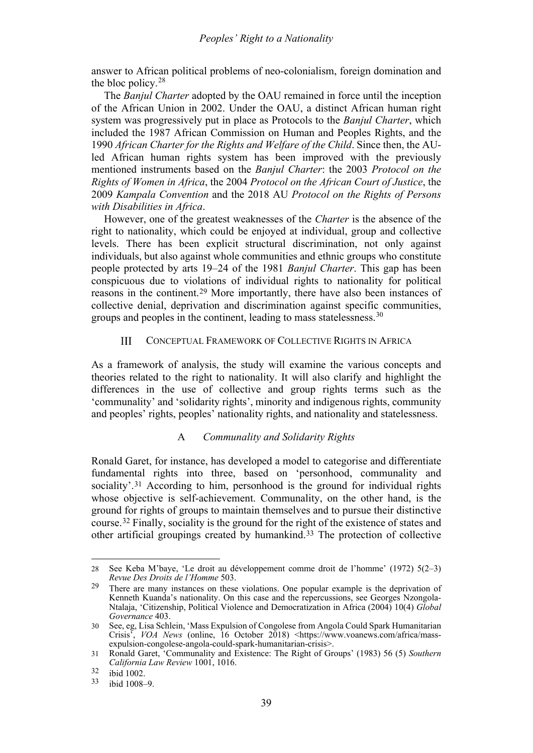answer to African political problems of neo-colonialism, foreign domination and the bloc policy.[28](#page-6-2)

The *Banjul Charter* adopted by the OAU remained in force until the inception of the African Union in 2002. Under the OAU, a distinct African human right system was progressively put in place as Protocols to the *Banjul Charter*, which included the 1987 African Commission on Human and Peoples Rights, and the 1990 *African Charter for the Rights and Welfare of the Child*. Since then, the AUled African human rights system has been improved with the previously mentioned instruments based on the *Banjul Charter*: the 2003 *Protocol on the Rights of Women in Africa*, the 2004 *Protocol on the African Court of Justice*, the 2009 *Kampala Convention* and the 2018 AU *Protocol on the Rights of Persons with Disabilities in Africa*.

However, one of the greatest weaknesses of the *Charter* is the absence of the right to nationality, which could be enjoyed at individual, group and collective levels. There has been explicit structural discrimination, not only against individuals, but also against whole communities and ethnic groups who constitute people protected by arts 19–24 of the 1981 *Banjul Charter*. This gap has been conspicuous due to violations of individual rights to nationality for political reasons in the continent.[29](#page-6-3) More importantly, there have also been instances of collective denial, deprivation and discrimination against specific communities, groups and peoples in the continent, leading to mass statelessness.[30](#page-6-4)

#### <span id="page-6-0"></span> $III$ CONCEPTUAL FRAMEWORK OF COLLECTIVE RIGHTS IN AFRICA

As a framework of analysis, the study will examine the various concepts and theories related to the right to nationality. It will also clarify and highlight the differences in the use of collective and group rights terms such as the 'communality' and 'solidarity rights', minority and indigenous rights, community and peoples' rights, peoples' nationality rights, and nationality and statelessness.

#### A *Communality and Solidarity Rights*

<span id="page-6-1"></span>Ronald Garet, for instance, has developed a model to categorise and differentiate fundamental rights into three, based on 'personhood, communality and sociality'.<sup>[31](#page-6-5)</sup> According to him, personhood is the ground for individual rights whose objective is self-achievement. Communality, on the other hand, is the ground for rights of groups to maintain themselves and to pursue their distinctive course.[32](#page-6-6) Finally, sociality is the ground for the right of the existence of states and other artificial groupings created by humankind.[33](#page-6-7) The protection of collective

<span id="page-6-2"></span><sup>28</sup> See Keba M'baye, 'Le droit au développement comme droit de l'homme' (1972) 5(2–3) *Revue Des Droits de l'Homme* 503.

<span id="page-6-3"></span><sup>29</sup> There are many instances on these violations. One popular example is the deprivation of Kenneth Kuanda's nationality. On this case and the repercussions, see Georges Nzongola-Ntalaja, 'Citizenship, Political Violence and Democratization in Africa (2004) 10(4) *Global Governance* 403.

<span id="page-6-4"></span><sup>30</sup> See, eg, Lisa Schlein, 'Mass Expulsion of Congolese from Angola Could Spark Humanitarian Crisis<sup>7</sup>, *VOA News* (online, 16 October 2018) <https://www.voanews.com/africa/massexpulsion-congolese-angola-could-spark-humanitarian-crisis>.

<span id="page-6-5"></span><sup>31</sup> Ronald Garet, 'Communality and Existence: The Right of Groups' (1983) 56 (5) *Southern California Law Review* 1001, 1016.

<span id="page-6-6"></span> $\frac{32}{33}$  ibid 1002.

<span id="page-6-7"></span>ibid 1008–9.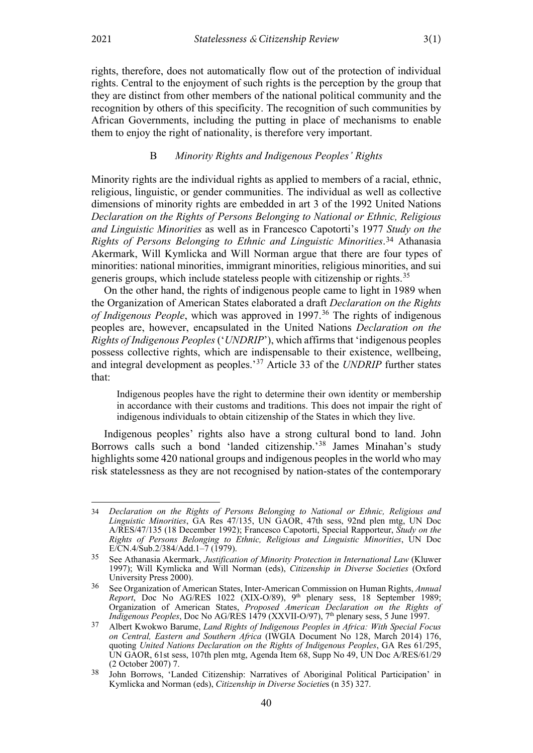<span id="page-7-1"></span>

rights, therefore, does not automatically flow out of the protection of individual rights. Central to the enjoyment of such rights is the perception by the group that they are distinct from other members of the national political community and the recognition by others of this specificity. The recognition of such communities by African Governments, including the putting in place of mechanisms to enable them to enjoy the right of nationality, is therefore very important.

### B *Minority Rights and Indigenous Peoples' Rights*

<span id="page-7-0"></span>Minority rights are the individual rights as applied to members of a racial, ethnic, religious, linguistic, or gender communities. The individual as well as collective dimensions of minority rights are embedded in art 3 of the 1992 United Nations *Declaration on the Rights of Persons Belonging to National or Ethnic, Religious and Linguistic Minorities* as well as in Francesco Capotorti's 1977 *Study on the Rights of Persons Belonging to Ethnic and Linguistic Minorities*.[34](#page-7-2) Athanasia Akermark, Will Kymlicka and Will Norman argue that there are four types of minorities: national minorities, immigrant minorities, religious minorities, and sui generis groups, which include stateless people with citizenship or rights.<sup>[35](#page-7-3)</sup>

On the other hand, the rights of indigenous people came to light in 1989 when the Organization of American States elaborated a draft *Declaration on the Rights of Indigenous People*, which was approved in 1997.<sup>[36](#page-7-4)</sup> The rights of indigenous peoples are, however, encapsulated in the United Nations *Declaration on the Rights of Indigenous Peoples* ('*UNDRIP*'), which affirms that 'indigenous peoples possess collective rights, which are indispensable to their existence, wellbeing, and integral development as peoples.' [37](#page-7-5) Article 33 of the *UNDRIP* further states that:

<span id="page-7-7"></span>Indigenous peoples have the right to determine their own identity or membership in accordance with their customs and traditions. This does not impair the right of indigenous individuals to obtain citizenship of the States in which they live.

Indigenous peoples' rights also have a strong cultural bond to land. John Borrows calls such a bond 'landed citizenship.'<sup>[38](#page-7-6)</sup> James Minahan's study highlights some 420 national groups and indigenous peoples in the world who may risk statelessness as they are not recognised by nation-states of the contemporary

<span id="page-7-2"></span><sup>34</sup> *Declaration on the Rights of Persons Belonging to National or Ethnic, Religious and Linguistic Minorities*, GA Res 47/135, UN GAOR, 47th sess, 92nd plen mtg, UN Doc A/RES/47/135 (18 December 1992); Francesco Capotorti, Special Rapporteur, *Study on the Rights of Persons Belonging to Ethnic, Religious and Linguistic Minorities*, UN Doc E/CN.4/Sub.2/384/Add.1–7 (1979).

<span id="page-7-3"></span><sup>35</sup> See Athanasia Akermark, *Justification of Minority Protection in International Law* (Kluwer 1997); Will Kymlicka and Will Norman (eds), *Citizenship in Diverse Societies* (Oxford University Press 2000).

<span id="page-7-4"></span><sup>36</sup> See Organization of American States, Inter-American Commission on Human Rights, *Annual Report*, Doc No AG/RES 1022 (XIX-O/89), 9<sup>th</sup> plenary sess, 18 September 1989; Organization of American States, *Proposed American Declaration on the Rights of Indigenous Peoples*, Doc No AG/RES 1479 (XXVII-O/97), 7<sup>th</sup> plenary sess, 5 June 1997.

<span id="page-7-5"></span><sup>37</sup> Albert Kwokwo Barume, *Land Rights of Indigenous Peoples in Africa: With Special Focus on Central, Eastern and Southern Africa* (IWGIA Document No 128, March 2014) 176, quoting *United Nations Declaration on the Rights of Indigenous Peoples*, GA Res 61/295, UN GAOR, 61st sess, 107th plen mtg, Agenda Item 68, Supp No 49, UN Doc A/RES/61/29 (2 October 2007) 7.

<span id="page-7-6"></span><sup>38</sup> John Borrows, 'Landed Citizenship: Narratives of Aboriginal Political Participation' in Kymlicka and Norman (eds), *Citizenship in Diverse Societie*s (n [35\)](#page-7-1) 327.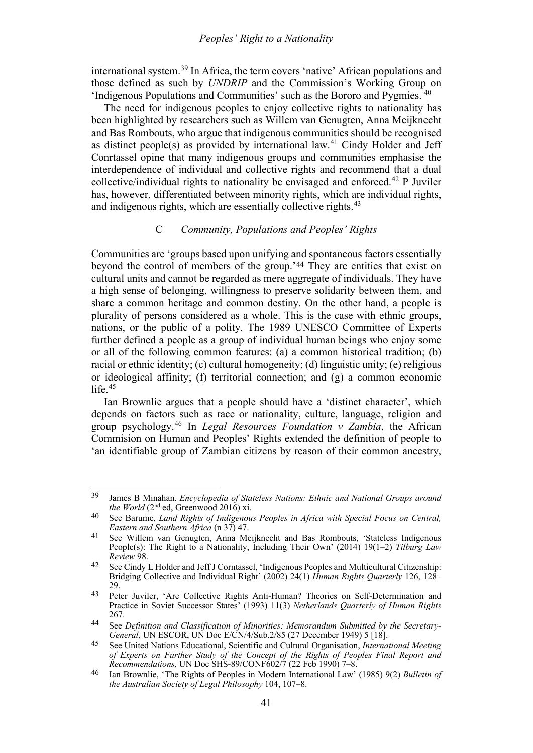<span id="page-8-9"></span>international system. [39](#page-8-1) In Africa, the term covers 'native' African populations and those defined as such by *UNDRIP* and the Commission's Working Group on 'Indigenous Populations and Communities' such as the Bororo and Pygmies. [40](#page-8-2)

The need for indigenous peoples to enjoy collective rights to nationality has been highlighted by researchers such as Willem van Genugten, Anna Meijknecht and Bas Rombouts, who argue that indigenous communities should be recognised as distinct people(s) as provided by international law.<sup>[41](#page-8-3)</sup> Cindy Holder and Jeff Conrtassel opine that many indigenous groups and communities emphasise the interdependence of individual and collective rights and recommend that a dual collective/individual rights to nationality be envisaged and enforced.[42](#page-8-4) P Juviler has, however, differentiated between minority rights, which are individual rights, and indigenous rights, which are essentially collective rights.<sup>[43](#page-8-5)</sup>

### C *Community, Populations and Peoples' Rights*

<span id="page-8-0"></span>Communities are 'groups based upon unifying and spontaneous factors essentially beyond the control of members of the group.'[44](#page-8-6) They are entities that exist on cultural units and cannot be regarded as mere aggregate of individuals. They have a high sense of belonging, willingness to preserve solidarity between them, and share a common heritage and common destiny. On the other hand, a people is plurality of persons considered as a whole. This is the case with ethnic groups, nations, or the public of a polity. The 1989 UNESCO Committee of Experts further defined a people as a group of individual human beings who enjoy some or all of the following common features: (a) a common historical tradition; (b) racial or ethnic identity; (c) cultural homogeneity; (d) linguistic unity; (e) religious or ideological affinity; (f) territorial connection; and (g) a common economic life $15$ 

Ian Brownlie argues that a people should have a 'distinct character', which depends on factors such as race or nationality, culture, language, religion and group psychology. [46](#page-8-8) In *Legal Resources Foundation v Zambia*, the African Commision on Human and Peoples' Rights extended the definition of people to 'an identifiable group of Zambian citizens by reason of their common ancestry,

<span id="page-8-1"></span><sup>39</sup> James B Minahan. *Encyclopedia of Stateless Nations: Ethnic and National Groups around* 

<span id="page-8-2"></span><sup>&</sup>lt;sup>40</sup> See Barume, *Land Rights of Indigenous Peoples in Africa with Special Focus on Central, Eastern and Southern Africa* (n [37\)](#page-7-7) 47.

<span id="page-8-3"></span><sup>41</sup> See Willem van Genugten, Anna Meijknecht and Bas Rombouts, 'Stateless Indigenous People(s): The Right to a Nationality, Including Their Own' (2014) 19(1–2) *Tilburg Law Review* 98.

<span id="page-8-4"></span><sup>42</sup> See Cindy L Holder and Jeff J Corntassel, 'Indigenous Peoples and Multicultural Citizenship: Bridging Collective and Individual Right' (2002) 24(1) *Human Rights Quarterly* 126, 128– 29.

<span id="page-8-5"></span><sup>43</sup> Peter Juviler, 'Are Collective Rights Anti-Human? Theories on Self-Determination and Practice in Soviet Successor States' (1993) 11(3) *Netherlands Quarterly of Human Rights* 267.

<span id="page-8-6"></span><sup>44</sup> See *Definition and Classification of Minorities: Memorandum Submitted by the Secretary-General*, UN ESCOR, UN Doc E/CN/4/Sub.2/85 (27 December 1949) 5 [18].

<span id="page-8-7"></span><sup>45</sup> See United Nations Educational, Scientific and Cultural Organisation, *International Meeting of Experts on Further Study of the Concept of the Rights of Peoples Final Report and* 

<span id="page-8-8"></span>*Recommendations, UN Doc SHS-89/CONF602/7 (22 Feb 1990) 7–8.* <br><sup>46</sup> Ian Brownlie, 'The Rights of Peoples in Modern International Law' (1985) 9(2) *Bulletin of the Australian Society of Legal Philosophy* 104, 107–8.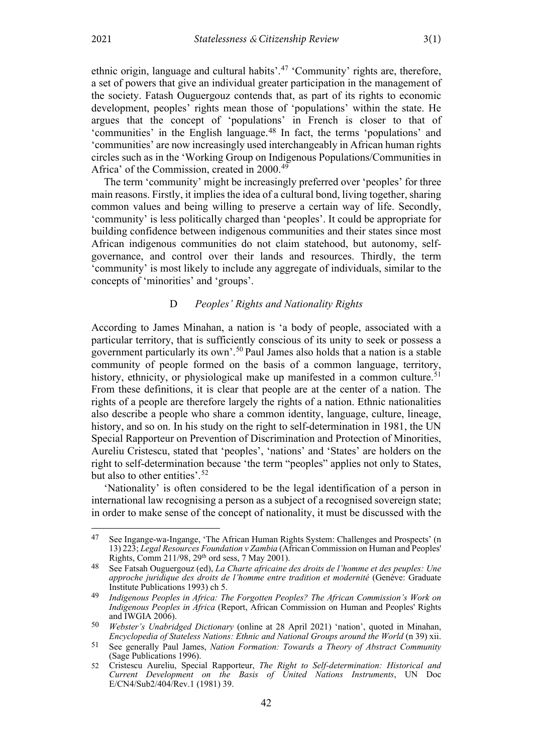<span id="page-9-7"></span>ethnic origin, language and cultural habits'.<sup>[47](#page-9-1)</sup> 'Community' rights are, therefore, a set of powers that give an individual greater participation in the management of the society. Fatash Ouguergouz contends that, as part of its rights to economic development, peoples' rights mean those of 'populations' within the state. He argues that the concept of 'populations' in French is closer to that of 'communities' in the English language.[48](#page-9-2) In fact, the terms 'populations' and 'communities' are now increasingly used interchangeably in African human rights circles such as in the 'Working Group on Indigenous Populations/Communities in Africa' of the Commission, created in 2000.<sup>[49](#page-9-3)</sup>

The term 'community' might be increasingly preferred over 'peoples' for three main reasons. Firstly, it implies the idea of a cultural bond, living together, sharing common values and being willing to preserve a certain way of life. Secondly, 'community' is less politically charged than 'peoples'. It could be appropriate for building confidence between indigenous communities and their states since most African indigenous communities do not claim statehood, but autonomy, selfgovernance, and control over their lands and resources. Thirdly, the term 'community' is most likely to include any aggregate of individuals, similar to the concepts of 'minorities' and 'groups'.

#### D *Peoples' Rights and Nationality Rights*

<span id="page-9-0"></span>According to James Minahan, a nation is 'a body of people, associated with a particular territory, that is sufficiently conscious of its unity to seek or possess a government particularly its own'. [50](#page-9-4) Paul James also holds that a nation is a stable community of people formed on the basis of a common language, territory, history, ethnicity, or physiological make up manifested in a common culture.<sup>[51](#page-9-5)</sup> From these definitions, it is clear that people are at the center of a nation. The rights of a people are therefore largely the rights of a nation. Ethnic nationalities also describe a people who share a common identity, language, culture, lineage, history, and so on. In his study on the right to self-determination in 1981, the UN Special Rapporteur on Prevention of Discrimination and Protection of Minorities, Aureliu Cristescu, stated that 'peoples', 'nations' and 'States' are holders on the right to self-determination because 'the term "peoples" applies not only to States, but also to other entities'. [52](#page-9-6)

'Nationality' is often considered to be the legal identification of a person in international law recognising a person as a subject of a recognised sovereign state; in order to make sense of the concept of nationality, it must be discussed with the

<span id="page-9-1"></span><sup>47</sup> See Ingange-wa-Ingange, 'The African Human Rights System: Challenges and Prospects' (n [13\)](#page-3-0) 223; *Legal Resources Foundation v Zambia* (African Commission on Human and Peoples' Rights, Comm 211/98, 29th ord sess, 7 May 2001).

<span id="page-9-2"></span><sup>48</sup> See Fatsah Ouguergouz (ed), *La Charte africaine des droits de l'homme et des peuples: Une approche juridique des droits de l'homme entre tradition et modernité* (Genève: Graduate Institute Publications 1993) ch 5.

<span id="page-9-3"></span><sup>49</sup> *Indigenous Peoples in Africa: The Forgotten Peoples? The African Commission's Work on Indigenous Peoples in Africa* (Report, African Commission on Human and Peoples' Rights and  $\check{I}$ WGIA 2006).

<span id="page-9-4"></span><sup>50</sup> *Webster's Unabridged Dictionary* (online at 28 April 2021) 'nation', quoted in Minahan, *Encyclopedia of Stateless Nations: Ethnic and National Groups around the World* (n [39\)](#page-8-9) xii.

<span id="page-9-5"></span><sup>51</sup> See generally Paul James, *Nation Formation: Towards a Theory of Abstract Community* (Sage Publications 1996).

<span id="page-9-6"></span><sup>52</sup> Cristescu Aureliu, Special Rapporteur, *The Right to Self-determination: Historical and Current Development on the Basis of United Nations Instruments*, UN Doc E/CN4/Sub2/404/Rev.1 (1981) 39.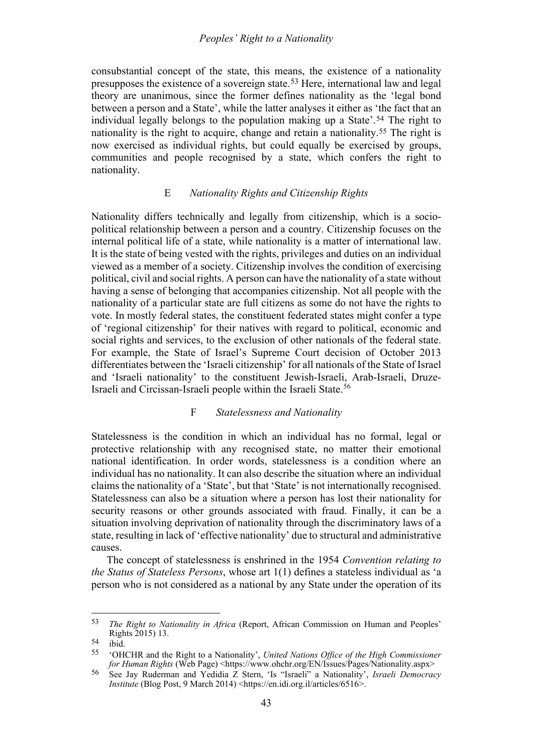#### *Peoples' Right to a Nationality*

consubstantial concept of the state, this means, the existence of a nationality presupposes the existence of a sovereign state.[53](#page-10-2) Here, international law and legal theory are unanimous, since the former defines nationality as the 'legal bond between a person and a State', while the latter analyses it either as 'the fact that an individual legally belongs to the population making up a State'.[54](#page-10-3) The right to nationality is the right to acquire, change and retain a nationality.[55](#page-10-4) The right is now exercised as individual rights, but could equally be exercised by groups, communities and people recognised by a state, which confers the right to nationality.

### E *Nationality Rights and Citizenship Rights*

<span id="page-10-0"></span>Nationality differs technically and legally from citizenship, which is a sociopolitical relationship between a person and a country. Citizenship focuses on the internal political life of a state, while nationality is a matter of international law. It is the state of being vested with the rights, privileges and duties on an individual viewed as a member of a society. Citizenship involves the condition of exercising political, civil and social rights. A person can have the nationality of a state without having a sense of belonging that accompanies citizenship. Not all people with the nationality of a particular state are full citizens as some do not have the rights to vote. In mostly federal states, the constituent federated states might confer a type of 'regional citizenship' for their natives with regard to political, economic and social rights and services, to the exclusion of other nationals of the federal state. For example, the State of Israel's Supreme Court decision of October 2013 differentiates between the 'Israeli citizenship' for all nationals of the State of Israel and 'Israeli nationality' to the constituent Jewish-Israeli, Arab-Israeli, Druze-Israeli and Circissan-Israeli people within the Israeli State.<sup>[56](#page-10-5)</sup>

### F *Statelessness and Nationality*

<span id="page-10-1"></span>Statelessness is the condition in which an individual has no formal, legal or protective relationship with any recognised state, no matter their emotional national identification. In order words, statelessness is a condition where an individual has no nationality. It can also describe the situation where an individual claims the nationality of a 'State', but that 'State' is not internationally recognised. Statelessness can also be a situation where a person has lost their nationality for security reasons or other grounds associated with fraud. Finally, it can be a situation involving deprivation of nationality through the discriminatory laws of a state, resulting in lack of 'effective nationality' due to structural and administrative causes.

The concept of statelessness is enshrined in the 1954 *Convention relating to the Status of Stateless Persons*, whose art 1(1) defines a stateless individual as 'a person who is not considered as a national by any State under the operation of its

<span id="page-10-2"></span><sup>53</sup> *The Right to Nationality in Africa* (Report, African Commission on Human and Peoples' Rights 2015) 13.

<span id="page-10-3"></span> $\begin{bmatrix} 54 & i \text{bid.} \\ 55 & i \text{OH} \end{bmatrix}$ 

<span id="page-10-4"></span><sup>55</sup> 'OHCHR and the Right to a Nationality', *United Nations Office of the High Commissioner for Human Rights* (Web Page) <https://www.ohchr.org/EN/Issues/Pages/Nationality.aspx>

<span id="page-10-5"></span><sup>56</sup> See Jay Ruderman and Yedidia Z Stern, 'Is "Israeli" a Nationality', *Israeli Democracy Institute* (Blog Post, 9 March 2014) <https://en.idi.org.il/articles/6516>.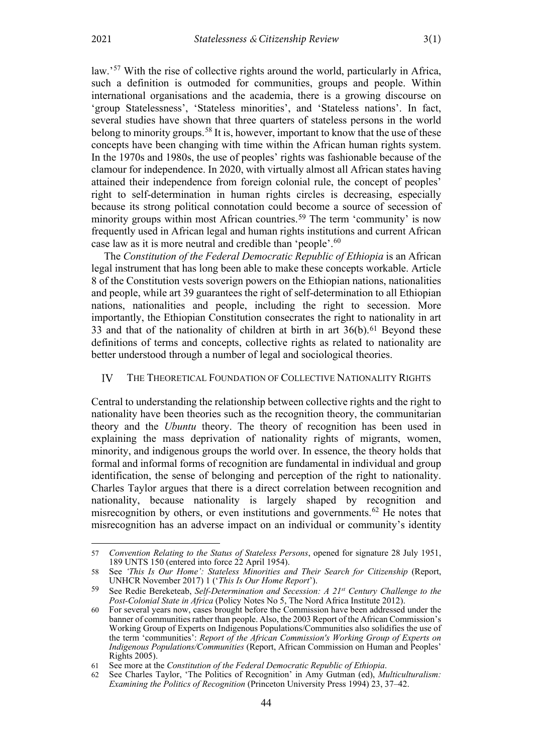<span id="page-11-7"></span>law.'<sup>[57](#page-11-1)</sup> With the rise of collective rights around the world, particularly in Africa, such a definition is outmoded for communities, groups and people. Within international organisations and the academia, there is a growing discourse on 'group Statelessness', 'Stateless minorities', and 'Stateless nations'. In fact, several studies have shown that three quarters of stateless persons in the world belong to minority groups.<sup>[58](#page-11-2)</sup> It is, however, important to know that the use of these concepts have been changing with time within the African human rights system. In the 1970s and 1980s, the use of peoples' rights was fashionable because of the clamour for independence. In 2020, with virtually almost all African states having attained their independence from foreign colonial rule, the concept of peoples' right to self-determination in human rights circles is decreasing, especially because its strong political connotation could become a source of secession of minority groups within most African countries.<sup>[59](#page-11-3)</sup> The term 'community' is now frequently used in African legal and human rights institutions and current African case law as it is more neutral and credible than 'people'.<sup>[60](#page-11-4)</sup>

The *Constitution of the Federal Democratic Republic of Ethiopia* is an African legal instrument that has long been able to make these concepts workable. Article 8 of the Constitution vests soverign powers on the Ethiopian nations, nationalities and people, while art 39 guarantees the right of self-determination to all Ethiopian nations, nationalities and people, including the right to secession. More importantly, the Ethiopian Constitution consecrates the right to nationality in art 33 and that of the nationality of children at birth in art  $36(b)$ .<sup>[61](#page-11-5)</sup> Beyond these definitions of terms and concepts, collective rights as related to nationality are better understood through a number of legal and sociological theories.

#### <span id="page-11-0"></span>THE THEORETICAL FOUNDATION OF COLLECTIVE NATIONALITY RIGHTS IV

Central to understanding the relationship between collective rights and the right to nationality have been theories such as the recognition theory, the communitarian theory and the *Ubuntu* theory. The theory of recognition has been used in explaining the mass deprivation of nationality rights of migrants, women, minority, and indigenous groups the world over. In essence, the theory holds that formal and informal forms of recognition are fundamental in individual and group identification, the sense of belonging and perception of the right to nationality. Charles Taylor argues that there is a direct correlation between recognition and nationality, because nationality is largely shaped by recognition and misrecognition by others, or even institutions and governments.<sup>[62](#page-11-6)</sup> He notes that misrecognition has an adverse impact on an individual or community's identity

<span id="page-11-1"></span><sup>57</sup> *Convention Relating to the Status of Stateless Persons*, opened for signature 28 July 1951, 189 UNTS 150 (entered into force 22 April 1954).

<span id="page-11-2"></span><sup>58</sup> See 'This Is Our Home': Stateless Minorities and Their Search for Citizenship (Report, UNHCR November 2017) 1 ('*This Is Our Home Report*').

<span id="page-11-3"></span><sup>59</sup> See Redie Bereketeab, *Self-Determination and Secession: A 21st Century Challenge to the Post-Colonial State in Africa* (Policy Notes No 5, The Nord Africa Institute 2012).

<span id="page-11-4"></span><sup>60</sup> For several years now, cases brought before the Commission have been addressed under the banner of communities rather than people. Also, the 2003 Report of the African Commission's Working Group of Experts on Indigenous Populations/Communities also solidifies the use of the term 'communities': *Report of the African Commission's Working Group of Experts on Indigenous Populations/Communities* (Report, African Commission on Human and Peoples' Rights 2005).

<span id="page-11-5"></span><sup>61</sup> See more at the *Constitution of the Federal Democratic Republic of Ethiopia*.

<span id="page-11-6"></span><sup>62</sup> See Charles Taylor, 'The Politics of Recognition' in Amy Gutman (ed), *Multiculturalism: Examining the Politics of Recognition* (Princeton University Press 1994) 23, 37–42.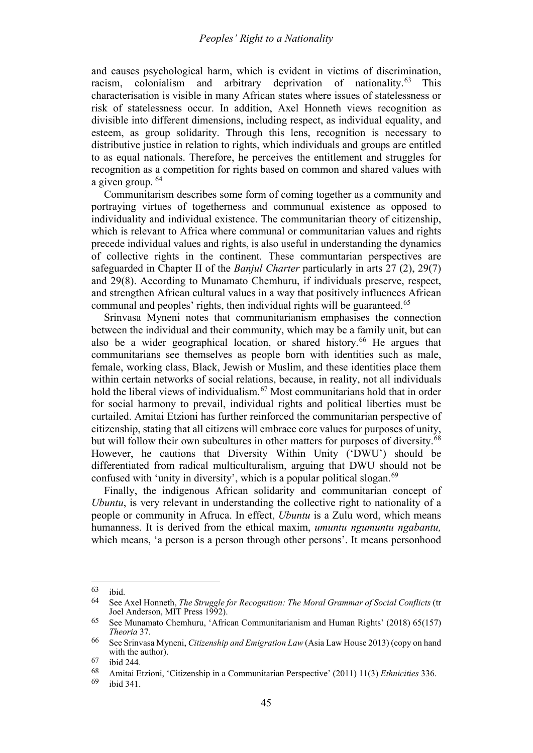and causes psychological harm, which is evident in victims of discrimination, racism, colonialism and arbitrary deprivation of nationality. $^{63}$  $^{63}$  $^{63}$ characterisation is visible in many African states where issues of statelessness or risk of statelessness occur. In addition, Axel Honneth views recognition as divisible into different dimensions, including respect, as individual equality, and esteem, as group solidarity. Through this lens, recognition is necessary to distributive justice in relation to rights, which individuals and groups are entitled to as equal nationals. Therefore, he perceives the entitlement and struggles for recognition as a competition for rights based on common and shared values with a given group. <sup>[64](#page-12-1)</sup>

Communitarism describes some form of coming together as a community and portraying virtues of togetherness and communual existence as opposed to individuality and individual existence. The communitarian theory of citizenship, which is relevant to Africa where communal or communitarian values and rights precede individual values and rights, is also useful in understanding the dynamics of collective rights in the continent. These communtarian perspectives are safeguarded in Chapter II of the *Banjul Charter* particularly in arts 27 (2), 29(7) and 29(8). According to Munamato Chemhuru, if individuals preserve, respect, and strengthen African cultural values in a way that positively influences African communal and peoples' rights, then individual rights will be guaranteed.<sup>[65](#page-12-2)</sup>

Srinvasa Myneni notes that communitarianism emphasises the connection between the individual and their community, which may be a family unit, but can also be a wider geographical location, or shared history.<sup>[66](#page-12-3)</sup> He argues that communitarians see themselves as people born with identities such as male, female, working class, Black, Jewish or Muslim, and these identities place them within certain networks of social relations, because, in reality, not all individuals hold the liberal views of individualism.<sup>[67](#page-12-4)</sup> Most communitarians hold that in order for social harmony to prevail, individual rights and political liberties must be curtailed. Amitai Etzioni has further reinforced the communitarian perspective of citizenship, stating that all citizens will embrace core values for purposes of unity, but will follow their own subcultures in other matters for purposes of diversity.<sup>[68](#page-12-5)</sup> However, he cautions that Diversity Within Unity ('DWU') should be differentiated from radical multiculturalism, arguing that DWU should not be confused with 'unity in diversity', which is a popular political slogan.<sup>[69](#page-12-6)</sup>

Finally, the indigenous African solidarity and communitarian concept of *Ubuntu*, is very relevant in understanding the collective right to nationality of a people or community in Afruca. In effect, *Ubuntu* is a Zulu word, which means humanness. It is derived from the ethical maxim, *umuntu ngumuntu ngabantu,* which means, 'a person is a person through other persons'. It means personhood

<span id="page-12-0"></span> $\frac{63}{64}$  ibid.

<span id="page-12-1"></span><sup>64</sup> See Axel Honneth, *The Struggle for Recognition: The Moral Grammar of Social Conflicts* (tr Joel Anderson, MIT Press 1992).

<span id="page-12-2"></span><sup>65</sup> See Munamato Chemhuru, 'African Communitarianism and Human Rights' (2018) 65(157) *Theoria* 37.

<span id="page-12-3"></span><sup>66</sup> See Srinvasa Myneni, *Citizenship and Emigration Law* (Asia Law House 2013) (copy on hand with the author).

<span id="page-12-4"></span> $\frac{67}{68}$  ibid 244.

<span id="page-12-6"></span><span id="page-12-5"></span><sup>68</sup> Amitai Etzioni, 'Citizenship in a Communitarian Perspective' (2011) 11(3) *Ethnicities* 336.

ibid 341.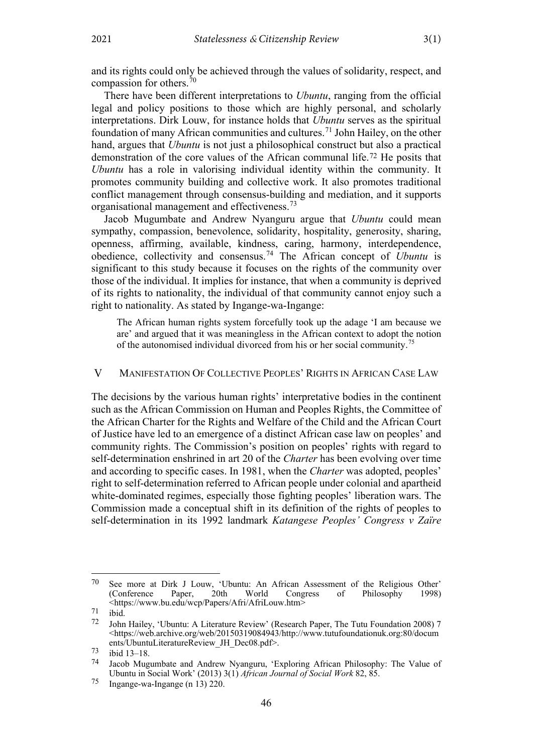and its rights could only be achieved through the values of solidarity, respect, and compassion for others.[70](#page-13-1)

There have been different interpretations to *Ubuntu*, ranging from the official legal and policy positions to those which are highly personal, and scholarly interpretations. Dirk Louw, for instance holds that *Ubuntu* serves as the spiritual foundation of many African communities and cultures.[71](#page-13-2) John Hailey, on the other hand, argues that *Ubuntu* is not just a philosophical construct but also a practical demonstration of the core values of the African communal life.[72](#page-13-3) He posits that *Ubuntu* has a role in valorising individual identity within the community. It promotes community building and collective work. It also promotes traditional conflict management through consensus-building and mediation, and it supports organisational management and effectiveness.[73](#page-13-4)

Jacob Mugumbate and Andrew Nyanguru argue that *Ubuntu* could mean sympathy, compassion, benevolence, solidarity, hospitality, generosity, sharing, openness, affirming, available, kindness, caring, harmony, interdependence, obedience, collectivity and consensus.[74](#page-13-5) The African concept of *Ubuntu* is significant to this study because it focuses on the rights of the community over those of the individual. It implies for instance, that when a community is deprived of its rights to nationality, the individual of that community cannot enjoy such a right to nationality. As stated by Ingange-wa-Ingange:

The African human rights system forcefully took up the adage 'I am because we are' and argued that it was meaningless in the African context to adopt the notion of the autonomised individual divorced from his or her social community.<sup>[75](#page-13-6)</sup>

#### <span id="page-13-0"></span> $\mathbf{V}$ MANIFESTATION OF COLLECTIVE PEOPLES' RIGHTS IN AFRICAN CASE LAW

The decisions by the various human rights' interpretative bodies in the continent such as the African Commission on Human and Peoples Rights, the Committee of the African Charter for the Rights and Welfare of the Child and the African Court of Justice have led to an emergence of a distinct African case law on peoples' and community rights. The Commission's position on peoples' rights with regard to self-determination enshrined in art 20 of the *Charter* has been evolving over time and according to specific cases. In 1981, when the *Charter* was adopted, peoples' right to self-determination referred to African people under colonial and apartheid white-dominated regimes, especially those fighting peoples' liberation wars. The Commission made a conceptual shift in its definition of the rights of peoples to self-determination in its 1992 landmark *Katangese Peoples' Congress v Zaïre*

<span id="page-13-1"></span><sup>&</sup>lt;sup>70</sup> See more at Dirk J Louw, 'Ubuntu: An African Assessment of the Religious Other' (Conference Paper, 20th World Congress of Philosophy 1998) (Conference Paper, 20th World Congress of Philosophy 1998) [<https://www.bu.edu/wcp/Papers/Afri/AfriLouw.htm>](https://www.bu.edu/wcp/Papers/Afri/AfriLouw.htm)

<span id="page-13-3"></span><span id="page-13-2"></span> $\frac{71}{72}$  ibid.

<sup>72</sup> John Hailey, 'Ubuntu: A Literature Review' (Research Paper, The Tutu Foundation 2008) 7 [<https://web.archive.org/web/20150319084943/http://www.tutufoundationuk.org:80/docum](https://web.archive.org/web/20150319084943/http:/www.tutufoundationuk.org:80/documents/UbuntuLiteratureReview_JH_Dec08.pdf) [ents/UbuntuLiteratureReview\\_JH\\_Dec08.pdf>](https://web.archive.org/web/20150319084943/http:/www.tutufoundationuk.org:80/documents/UbuntuLiteratureReview_JH_Dec08.pdf).

<span id="page-13-5"></span><span id="page-13-4"></span> $\frac{73}{74}$  ibid 13–18.<br> $\frac{73}{12}$  Jacob Mug

Jacob Mugumbate and Andrew Nyanguru, 'Exploring African Philosophy: The Value of Ubuntu in Social Work' (2013) 3(1) *African Journal of Social Work* 82, 85.

<span id="page-13-6"></span><sup>75</sup> Ingange-wa-Ingange (n [13\)](#page-3-0) 220.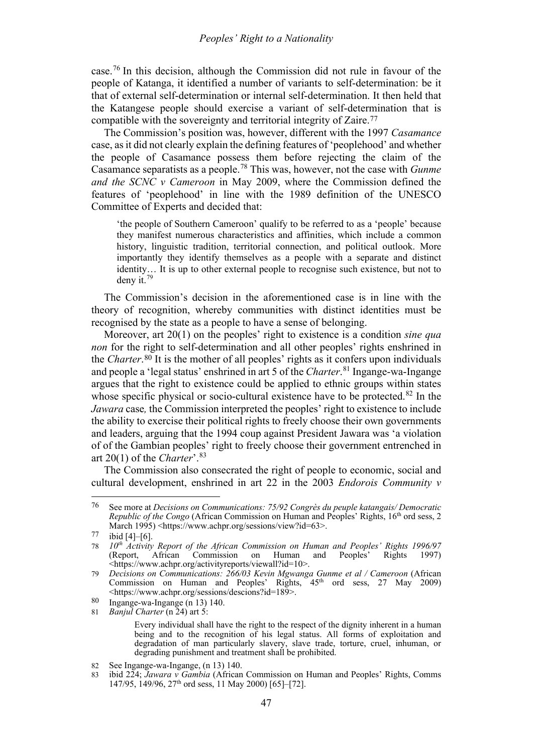#### *Peoples' Right to a Nationality*

case. [76](#page-14-0) In this decision, although the Commission did not rule in favour of the people of Katanga, it identified a number of variants to self-determination: be it that of external self-determination or internal self-determination. It then held that the Katangese people should exercise a variant of self-determination that is compatible with the sovereignty and territorial integrity of Zaire.[77](#page-14-1)

The Commission's position was, however, different with the 1997 *Casamance*  case, as it did not clearly explain the defining features of 'peoplehood' and whether the people of Casamance possess them before rejecting the claim of the Casamance separatists as a people.[78](#page-14-2) This was, however, not the case with *Gunme and the SCNC v Cameroon* in May 2009, where the Commission defined the features of 'peoplehood' in line with the 1989 definition of the UNESCO Committee of Experts and decided that:

'the people of Southern Cameroon' qualify to be referred to as a 'people' because they manifest numerous characteristics and affinities, which include a common history, linguistic tradition, territorial connection, and political outlook. More importantly they identify themselves as a people with a separate and distinct identity… It is up to other external people to recognise such existence, but not to deny it.[79](#page-14-3)

The Commission's decision in the aforementioned case is in line with the theory of recognition, whereby communities with distinct identities must be recognised by the state as a people to have a sense of belonging.

Moreover, art 20(1) on the peoples' right to existence is a condition *sine qua non* for the right to self-determination and all other peoples' rights enshrined in the *Charter*.[80](#page-14-4) It is the mother of all peoples' rights as it confers upon individuals and people a 'legal status' enshrined in art 5 of the *Charter*. [81](#page-14-5) Ingange-wa-Ingange argues that the right to existence could be applied to ethnic groups within states whose specific physical or socio-cultural existence have to be protected.<sup>[82](#page-14-6)</sup> In the *Jawara* case*,* the Commission interpreted the peoples' right to existence to include the ability to exercise their political rights to freely choose their own governments and leaders, arguing that the 1994 coup against President Jawara was 'a violation of of the Gambian peoples' right to freely choose their government entrenched in art 20(1) of the *Charter*'.[83](#page-14-7)

The Commission also consecrated the right of people to economic, social and cultural development, enshrined in art 22 in the 2003 *Endorois Community v* 

<span id="page-14-0"></span><sup>76</sup> See more at *Decisions on Communications: 75/92 Congrès du peuple katangais/ Democratic Republic of the Congo* (African Commission on Human and Peoples' Rights, 16<sup>th</sup> ord sess, 2 March 1995) <https://www.achpr.org/sessions/view?id=63>.

<span id="page-14-1"></span> $77$  ibid [4]–[6].

<span id="page-14-2"></span><sup>78</sup> *10th Activity Report of the African Commission on Human and Peoples' Rights 1996/97*  $\delta$  Commission on <https://www.achpr.org/activityreports/viewall?id=10>.

<span id="page-14-3"></span><sup>79</sup> *Decisions on Communications: 266/03 Kevin Mgwanga Gunme et al / Cameroon* (African Commission on Human and Peoples' Rights,  $45<sup>th</sup>$  ord sess, 27 May 2009) <https://www.achpr.org/sessions/descions?id=189>.

<span id="page-14-4"></span><sup>80</sup> Ingange-wa-Ingange (n [13\)](#page-3-0) 140.

<span id="page-14-5"></span><sup>81</sup> *Banjul Charter* (n [24\)](#page-5-6) art 5:

Every individual shall have the right to the respect of the dignity inherent in a human being and to the recognition of his legal status. All forms of exploitation and degradation of man particularly slavery, slave trade, torture, cruel, inhuman, or degrading punishment and treatment shall be prohibited.

<span id="page-14-6"></span><sup>82</sup> See Ingange-wa-Ingange, (n [13\)](#page-3-0) 140.

<span id="page-14-7"></span><sup>83</sup> ibid 224; *Jawara v Gambia* (African Commission on Human and Peoples' Rights, Comms 147/95, 149/96, 27th ord sess, 11 May 2000) [65]–[72].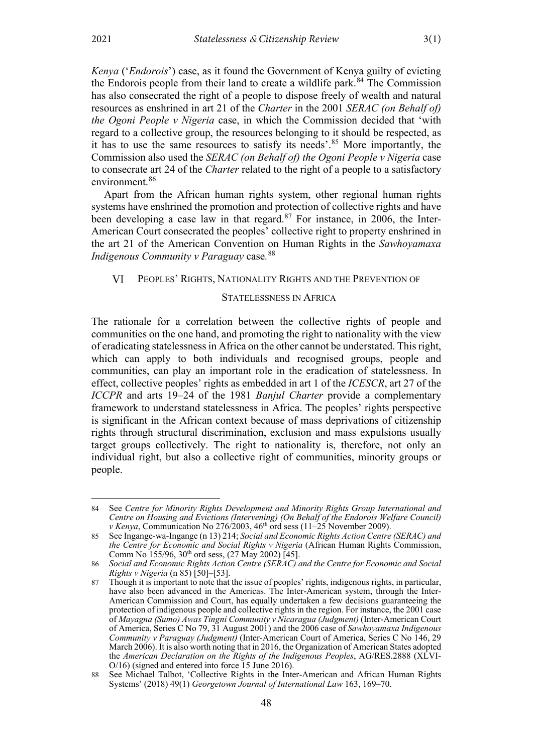*Kenya* ('*Endorois*') case, as it found the Government of Kenya guilty of evicting the Endorois people from their land to create a wildlife park.<sup>[84](#page-15-2)</sup> The Commission has also consecrated the right of a people to dispose freely of wealth and natural resources as enshrined in art 21 of the *Charter* in the 2001 *SERAC (on Behalf of) the Ogoni People v Nigeria* case, in which the Commission decided that 'with regard to a collective group, the resources belonging to it should be respected, as it has to use the same resources to satisfy its needs'.[85](#page-15-3) More importantly, the Commission also used the *SERAC (on Behalf of) the Ogoni People v Nigeria* case to consecrate art 24 of the *Charter* related to the right of a people to a satisfactory environment.<sup>[86](#page-15-4)</sup>

Apart from the African human rights system, other regional human rights systems have enshrined the promotion and protection of collective rights and have been developing a case law in that regard.<sup>[87](#page-15-5)</sup> For instance, in 2006, the Inter-American Court consecrated the peoples' collective right to property enshrined in the art 21 of the American Convention on Human Rights in the *Sawhoyamaxa Indigenous Community v Paraguay* case*.* [88](#page-15-6)

#### <span id="page-15-0"></span>VI PEOPLES' RIGHTS, NATIONALITY RIGHTS AND THE PREVENTION OF

#### <span id="page-15-1"></span>STATELESSNESS IN AFRICA

The rationale for a correlation between the collective rights of people and communities on the one hand, and promoting the right to nationality with the view of eradicating statelessness in Africa on the other cannot be understated. This right, which can apply to both individuals and recognised groups, people and communities, can play an important role in the eradication of statelessness. In effect, collective peoples' rights as embedded in art 1 of the *ICESCR*, art 27 of the *ICCPR* and arts 19–24 of the 1981 *Banjul Charter* provide a complementary framework to understand statelessness in Africa. The peoples' rights perspective is significant in the African context because of mass deprivations of citizenship rights through structural discrimination, exclusion and mass expulsions usually target groups collectively. The right to nationality is, therefore, not only an individual right, but also a collective right of communities, minority groups or people.

<span id="page-15-2"></span><sup>84</sup> See *Centre for Minority Rights Development and Minority Rights Group International and Centre on Housing and Evictions (Intervening) (On Behalf of the Endorois Welfare Council) v Kenya*, Communication No 276/2003, 46<sup>th</sup> ord sess (11–25 November 2009).

<span id="page-15-3"></span><sup>85</sup> See Ingange-wa-Ingange ([n 13\)](#page-3-0) 214; *Social and Economic Rights Action Centre (SERAC) and the Centre for Economic and Social Rights v Nigeria* (African Human Rights Commission, Comm No  $155/96$ ,  $30<sup>th</sup>$  ord sess, (27 May 2002) [45].

<span id="page-15-4"></span><sup>86</sup> *Social and Economic Rights Action Centre (SERAC) and the Centre for Economic and Social Rights v Nigeria* (n [85\)](#page-15-1) [50]–[53].

<span id="page-15-5"></span><sup>87</sup> Though it is important to note that the issue of peoples' rights, indigenous rights, in particular, have also been advanced in the Americas. The Inter-American system, through the Inter-American Commission and Court, has equally undertaken a few decisions guaranteeing the protection of indigenous people and collective rights in the region. For instance, the 2001 case of *Mayagna (Sumo) Awas Tingni Community v Nicaragua (Judgment)* (Inter-American Court of America, Series C No 79, 31 August 2001) and the 2006 case of *Sawhoyamaxa Indigenous Community v Paraguay (Judgment)* (Inter-American Court of America, Series C No 146, 29 March 2006). It is also worth noting that in 2016, the Organization of American States adopted the *American Declaration on the Rights of the Indigenous Peoples*, AG/RES.2888 (XLVI-O/16) (signed and entered into force 15 June 2016).

<span id="page-15-6"></span><sup>88</sup> See Michael Talbot, 'Collective Rights in the Inter-American and African Human Rights Systems' (2018) 49(1) *Georgetown Journal of International Law* 163, 169–70.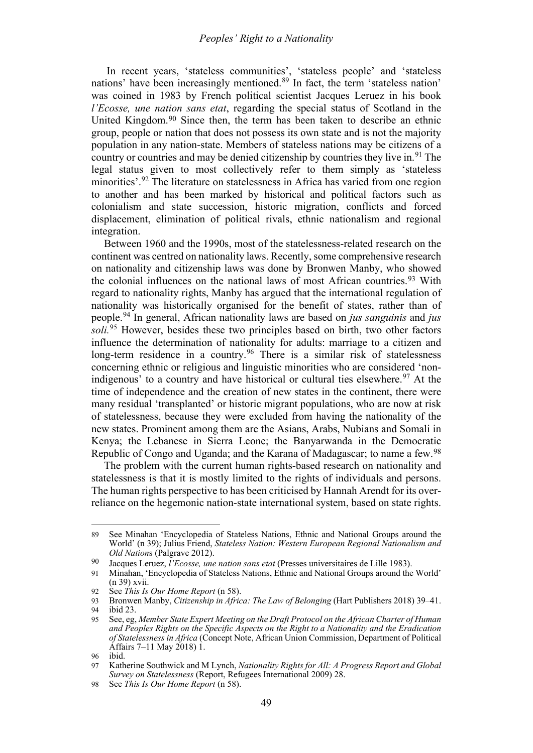In recent years, 'stateless communities', 'stateless people' and 'stateless nations' have been increasingly mentioned. [89](#page-16-0) In fact, the term 'stateless nation' was coined in 1983 by French political scientist Jacques Leruez in his book *l'Ecosse, une nation sans etat*, regarding the special status of Scotland in the United Kingdom.[90](#page-16-1) Since then, the term has been taken to describe an ethnic group, people or nation that does not possess its own state and is not the majority population in any nation-state. Members of stateless nations may be citizens of a country or countries and may be denied citizenship by countries they live in.<sup>[91](#page-16-2)</sup> The legal status given to most collectively refer to them simply as 'stateless minorities'.<sup>[92](#page-16-3)</sup> The literature on statelessness in Africa has varied from one region to another and has been marked by historical and political factors such as colonialism and state succession, historic migration, conflicts and forced displacement, elimination of political rivals, ethnic nationalism and regional integration.

Between 1960 and the 1990s, most of the statelessness-related research on the continent was centred on nationality laws. Recently, some comprehensive research on nationality and citizenship laws was done by Bronwen Manby, who showed the colonial influences on the national laws of most African countries.[93](#page-16-4) With regard to nationality rights, Manby has argued that the international regulation of nationality was historically organised for the benefit of states, rather than of people.[94](#page-16-5) In general, African nationality laws are based on *jus sanguinis* and *jus soli.*[95](#page-16-6) However, besides these two principles based on birth, two other factors influence the determination of nationality for adults: marriage to a citizen and long-term residence in a country.<sup>[96](#page-16-7)</sup> There is a similar risk of statelessness concerning ethnic or religious and linguistic minorities who are considered 'non-indigenous' to a country and have historical or cultural ties elsewhere.<sup>[97](#page-16-8)</sup> At the time of independence and the creation of new states in the continent, there were many residual 'transplanted' or historic migrant populations, who are now at risk of statelessness, because they were excluded from having the nationality of the new states. Prominent among them are the Asians, Arabs, Nubians and Somali in Kenya; the Lebanese in Sierra Leone; the Banyarwanda in the Democratic Republic of Congo and Uganda; and the Karana of Madagascar; to name a few.[98](#page-16-9)

The problem with the current human rights-based research on nationality and statelessness is that it is mostly limited to the rights of individuals and persons. The human rights perspective to has been criticised by Hannah Arendt for its overreliance on the hegemonic nation-state international system, based on state rights.

<span id="page-16-0"></span><sup>89</sup> See Minahan 'Encyclopedia of Stateless Nations, Ethnic and National Groups around the World' (n [39\)](#page-8-9); Julius Friend, *Stateless Nation: Western European Regional Nationalism and Old Nation*s (Palgrave 2012).

<span id="page-16-1"></span><sup>90</sup> Jacques Leruez, *l'Ecosse, une nation sans etat* (Presses universitaires de Lille 1983).

<span id="page-16-2"></span><sup>91</sup> Minahan, 'Encyclopedia of Stateless Nations, Ethnic and National Groups around the World' ([n 39\)](#page-8-9) xvii.

<span id="page-16-3"></span><sup>92</sup> See *This Is Our Home Report* (n [58\)](#page-11-7).

<span id="page-16-5"></span><span id="page-16-4"></span><sup>93</sup> Bronwen Manby, *Citizenship in Africa: The Law of Belonging* (Hart Publishers 2018) 39–41.

ibid 23.

<span id="page-16-6"></span><sup>95</sup> See, eg, *Member State Expert Meeting on the Draft Protocol on the African Charter of Human and Peoples Rights on the Specific Aspects on the Right to a Nationality and the Eradication of Statelessness in Africa* (Concept Note, African Union Commission, Department of Political Affairs 7–11 May 2018) 1.

<span id="page-16-7"></span><sup>96</sup> ibid.

<span id="page-16-8"></span><sup>97</sup> Katherine Southwick and M Lynch, *Nationality Rights for All: A Progress Report and Global Survey on Statelessness* (Report, Refugees International 2009) 28.

<span id="page-16-9"></span><sup>98</sup> See *This Is Our Home Report* (n [58\)](#page-11-7).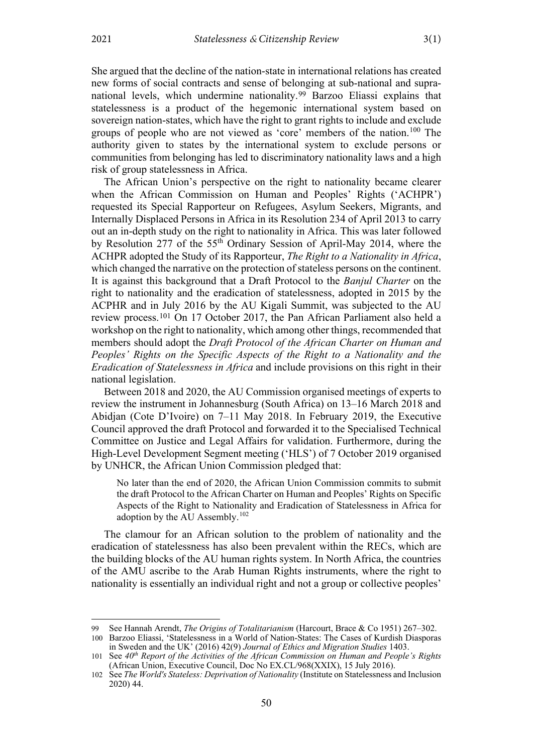She argued that the decline of the nation-state in international relations has created new forms of social contracts and sense of belonging at sub-national and supranational levels, which undermine nationality[.99](#page-17-0) Barzoo Eliassi explains that statelessness is a product of the hegemonic international system based on sovereign nation-states, which have the right to grant rights to include and exclude groups of people who are not viewed as 'core' members of the nation.[100](#page-17-1) The authority given to states by the international system to exclude persons or communities from belonging has led to discriminatory nationality laws and a high risk of group statelessness in Africa.

The African Union's perspective on the right to nationality became clearer when the African Commission on Human and Peoples' Rights ('ACHPR') requested its Special Rapporteur on Refugees, Asylum Seekers, Migrants, and Internally Displaced Persons in Africa in its Resolution 234 of April 2013 to carry out an in-depth study on the right to nationality in Africa. This was later followed by Resolution 277 of the 55th Ordinary Session of April-May 2014, where the ACHPR adopted the Study of its Rapporteur, *The Right to a Nationality in Africa*, which changed the narrative on the protection of stateless persons on the continent. It is against this background that a Draft Protocol to the *Banjul Charter* on the right to nationality and the eradication of statelessness, adopted in 2015 by the ACPHR and in July 2016 by the AU Kigali Summit, was subjected to the AU review process.[101](#page-17-2) On 17 October 2017, the Pan African Parliament also held a workshop on the right to nationality, which among other things, recommended that members should adopt the *Draft Protocol of the African Charter on Human and Peoples' Rights on the Specific Aspects of the Right to a Nationality and the Eradication of Statelessness in Africa* and include provisions on this right in their national legislation.

Between 2018 and 2020, the AU Commission organised meetings of experts to review the instrument in Johannesburg (South Africa) on 13–16 March 2018 and Abidjan (Cote D'Ivoire) on 7–11 May 2018. In February 2019, the Executive Council approved the draft Protocol and forwarded it to the Specialised Technical Committee on Justice and Legal Affairs for validation. Furthermore, during the High-Level Development Segment meeting ('HLS') of 7 October 2019 organised by UNHCR, the African Union Commission pledged that:

No later than the end of 2020, the African Union Commission commits to submit the draft Protocol to the African Charter on Human and Peoples' Rights on Specific Aspects of the Right to Nationality and Eradication of Statelessness in Africa for adoption by the AU Assembly.<sup>[102](#page-17-3)</sup>

The clamour for an African solution to the problem of nationality and the eradication of statelessness has also been prevalent within the RECs, which are the building blocks of the AU human rights system. In North Africa, the countries of the AMU ascribe to the Arab Human Rights instruments, where the right to nationality is essentially an individual right and not a group or collective peoples'

<span id="page-17-1"></span><span id="page-17-0"></span><sup>99</sup> See Hannah Arendt, *The Origins of Totalitarianism* (Harcourt, Brace & Co 1951) 267–302. 100 Barzoo Eliassi, 'Statelessness in a World of Nation-States: The Cases of Kurdish Diasporas

in Sweden and the UK' (2016) 42(9) *Journal of Ethics and Migration Studies* 1403.

<span id="page-17-2"></span><sup>101</sup> See *40th Report of the Activities of the African Commission on Human and People's Rights* (African Union, Executive Council, Doc No EX.CL/968(XXIX), 15 July 2016).

<span id="page-17-3"></span><sup>102</sup> See *The World's Stateless: Deprivation of Nationality* (Institute on Statelessness and Inclusion 2020) 44.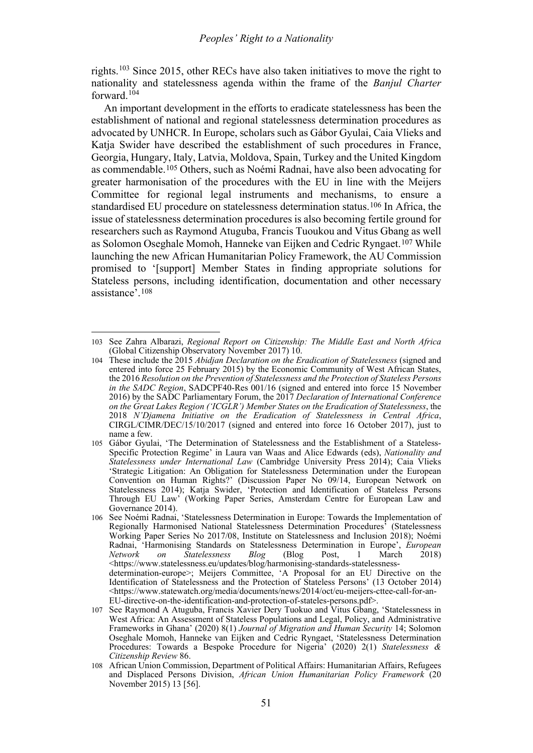rights.[103](#page-18-0) Since 2015, other RECs have also taken initiatives to move the right to nationality and statelessness agenda within the frame of the *Banjul Charter* forward.[104](#page-18-1)

An important development in the efforts to eradicate statelessness has been the establishment of national and regional statelessness determination procedures as advocated by UNHCR. In Europe, scholars such as Gábor Gyulai, Caia Vlieks and Katia Swider have described the establishment of such procedures in France, Georgia, Hungary, Italy, Latvia, Moldova, Spain, Turkey and the United Kingdom as commendable.[105](#page-18-2) Others, such as Noémi Radnai, have also been advocating for greater harmonisation of the procedures with the EU in line with the Meijers Committee for regional legal instruments and mechanisms, to ensure a standardised EU procedure on statelessness determination status.[106](#page-18-3) In Africa, the issue of statelessness determination procedures is also becoming fertile ground for researchers such as Raymond Atuguba, Francis Tuoukou and Vitus Gbang as well as Solomon Oseghale Momoh, Hanneke van Eijken and Cedric Ryngaet.[107](#page-18-4) While launching the new African Humanitarian Policy Framework, the AU Commission promised to '[support] Member States in finding appropriate solutions for Stateless persons, including identification, documentation and other necessary assistance'.[108](#page-18-5)

<span id="page-18-0"></span><sup>103</sup> See Zahra Albarazi, *Regional Report on Citizenship: The Middle East and North Africa* (Global Citizenship Observatory November 2017) 10.

<span id="page-18-1"></span><sup>104</sup> These include the 2015 *Abidjan Declaration on the Eradication of Statelessness* (signed and entered into force 25 February 2015) by the Economic Community of West African States, the 2016 *Resolution on the Prevention of Statelessness and the Protection of Stateless Persons in the SADC Region*, SADCPF40-Res 001/16 (signed and entered into force 15 November 2016) by the SADC Parliamentary Forum, the 2017 *Declaration of International Conference on the Great Lakes Region ('ICGLR') Member States on the Eradication of Statelessness*, the 2018 *N'Djamena Initiative on the Eradication of Statelessness in Central Africa*, CIRGL/CIMR/DEC/15/10/2017 (signed and entered into force 16 October 2017), just to name a few.

<span id="page-18-2"></span><sup>105</sup> Gábor Gyulai, 'The Determination of Statelessness and the Establishment of a Stateless-Specific Protection Regime' in Laura van Waas and Alice Edwards (eds), *Nationality and Statelessness under International Law* (Cambridge University Press 2014); Caia Vlieks 'Strategic Litigation: An Obligation for Statelessness Determination under the European Convention on Human Rights?' (Discussion Paper No 09/14, European Network on Statelessness 2014); Katja Swider, 'Protection and Identification of Stateless Persons Through EU Law' (Working Paper Series, Amsterdam Centre for European Law and Governance 2014).

<span id="page-18-3"></span><sup>106</sup> See Noémi Radnai, 'Statelessness Determination in Europe: Towards the Implementation of Regionally Harmonised National Statelessness Determination Procedures' (Statelessness Working Paper Series No 2017/08, Institute on Statelessness and Inclusion 2018); Noémi Radnai, 'Harmonising Standards on Statelessness Determination in Europe', *European Network on Statelessness Blog* (Blog Post, 1 March 2018) <https://www.statelessness.eu/updates/blog/harmonising-standards-statelessnessdetermination-europe>; Meijers Committee, 'A Proposal for an EU Directive on the Identification of Statelessness and the Protection of Stateless Persons' (13 October 2014) [<https://www.statewatch.org/media/documents/news/2014/oct/eu-meijers-cttee-call-for-an-](https://www.statewatch.org/media/documents/news/2014/oct/eu-meijers-cttee-call-for-an-EU-directive-on-the-identification-and-protection-of-stateles-persons.pdf)[EU-directive-on-the-identification-and-protection-of-stateles-persons.pdf>](https://www.statewatch.org/media/documents/news/2014/oct/eu-meijers-cttee-call-for-an-EU-directive-on-the-identification-and-protection-of-stateles-persons.pdf).

<span id="page-18-4"></span><sup>107</sup> See Raymond A Atuguba, Francis Xavier Dery Tuokuo and Vitus Gbang, 'Statelessness in West Africa: An Assessment of Stateless Populations and Legal, Policy, and Administrative Frameworks in Ghana' (2020) 8(1) *Journal of Migration and Human Security* 14; Solomon Oseghale Momoh, Hanneke van Eijken and Cedric Ryngaet, 'Statelessness Determination Procedures: Towards a Bespoke Procedure for Nigeria' (2020) 2(1) *Statelessness & Citizenship Review* 86.

<span id="page-18-5"></span><sup>108</sup> African Union Commission, Department of Political Affairs: Humanitarian Affairs, Refugees and Displaced Persons Division, *African Union Humanitarian Policy Framework* (20 November 2015) 13 [56].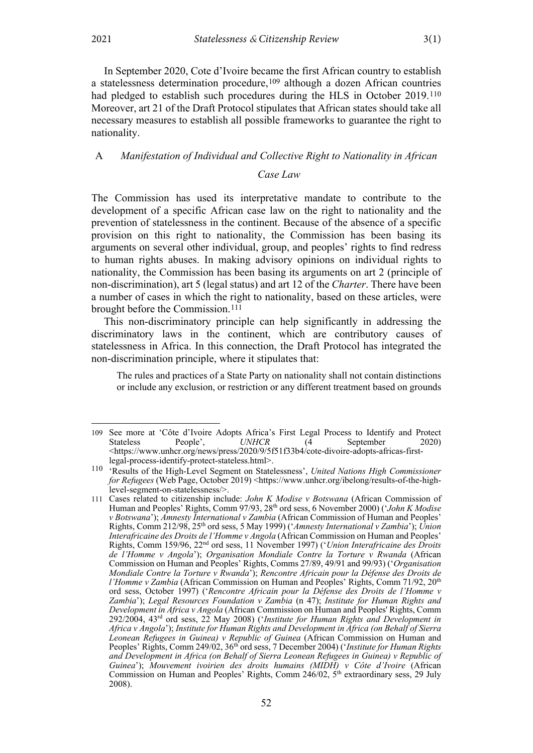In September 2020, Cote d'Ivoire became the first African country to establish a statelessness determination procedure,<sup>[109](#page-19-1)</sup> although a dozen African countries had pledged to establish such procedures during the HLS in October 2019.<sup>[110](#page-19-2)</sup> Moreover, art 21 of the Draft Protocol stipulates that African states should take all necessary measures to establish all possible frameworks to guarantee the right to nationality.

## <span id="page-19-0"></span>A *Manifestation of Individual and Collective Right to Nationality in African*

#### *Case Law*

The Commission has used its interpretative mandate to contribute to the development of a specific African case law on the right to nationality and the prevention of statelessness in the continent. Because of the absence of a specific provision on this right to nationality, the Commission has been basing its arguments on several other individual, group, and peoples' rights to find redress to human rights abuses. In making advisory opinions on individual rights to nationality, the Commission has been basing its arguments on art 2 (principle of non-discrimination), art 5 (legal status) and art 12 of the *Charter*. There have been a number of cases in which the right to nationality, based on these articles, were brought before the Commission.[111](#page-19-3)

This non-discriminatory principle can help significantly in addressing the discriminatory laws in the continent, which are contributory causes of statelessness in Africa. In this connection, the Draft Protocol has integrated the non-discrimination principle, where it stipulates that:

<span id="page-19-4"></span>The rules and practices of a State Party on nationality shall not contain distinctions or include any exclusion, or restriction or any different treatment based on grounds

<span id="page-19-1"></span><sup>109</sup> See more at 'Côte d'Ivoire Adopts Africa's First Legal Process to Identify and Protect Stateless People', *UNHCR* (4 September 2020) [<https://www.unhcr.org/news/press/2020/9/5f51f33b4/cote-divoire-adopts-africas-first](https://www.unhcr.org/news/press/2020/9/5f51f33b4/cote-divoire-adopts-africas-first-legal-process-identify-protect-stateless.html)[legal-process-identify-protect-stateless.html>](https://www.unhcr.org/news/press/2020/9/5f51f33b4/cote-divoire-adopts-africas-first-legal-process-identify-protect-stateless.html).

<span id="page-19-2"></span><sup>110</sup> 'Results of the High-Level Segment on Statelessness', *United Nations High Commissioner for Refugees* (Web Page, October 2019) <https://www.unhcr.org/ibelong/results-of-the-highlevel-segment-on-statelessness/>.

<span id="page-19-3"></span><sup>111</sup> Cases related to citizenship include: *John K Modise v Botswana* (African Commission of Human and Peoples' Rights, Comm 97/93, 28<sup>th</sup> ord sess, 6 November 2000) ('*John K Modise v Botswana*'); *Amnesty International v Zambia* (African Commission of Human and Peoples' Rights, Comm 212/98, 25th ord sess, 5 May 1999) ('*Amnesty International v Zambia*'); *Union Interafricaine des Droits de l'Homme v Angola* (African Commission on Human and Peoples' Rights, Comm 159/96, 22nd ord sess, 11 November 1997) ('*Union Interafricaine des Droits de l'Homme v Angola*'); *Organisation Mondiale Contre la Torture v Rwanda* (African Commission on Human and Peoples' Rights, Comms 27/89, 49/91 and 99/93) ('*Organisation Mondiale Contre la Torture v Rwanda*'); *Rencontre Africain pour la Défense des Droits de l'Homme v Zambia* (African Commission on Human and Peoples' Rights, Comm 71/92, 20<sup>th</sup> ord sess, October 1997) ('*Rencontre Africain pour la Défense des Droits de l'Homme v Zambia*'); *Legal Resources Foundation v Zambia* (n [47\)](#page-9-7); *Institute for Human Rights and Development in Africa v Angola* (African Commission on Human and Peoples' Rights, Comm 292/2004, 43rd ord sess, 22 May 2008) ('*Institute for Human Rights and Development in Africa v Angola*'); *Institute for Human Rights and Development in Africa (on Behalf of Sierra Leonean Refugees in Guinea) v Republic of Guinea* (African Commission on Human and Peoples' Rights, Comm 249/02, 36<sup>th</sup> ord sess, 7 December 2004) ('*Institute for Human Rights and Development in Africa (on Behalf of Sierra Leonean Refugees in Guinea) v Republic of Guinea*'); *Mouvement ivoirien des droits humains (MIDH) v Côte d'Ivoire* (African Commission on Human and Peoples' Rights, Comm  $246/02$ ,  $5<sup>th</sup>$  extraordinary sess, 29 July 2008).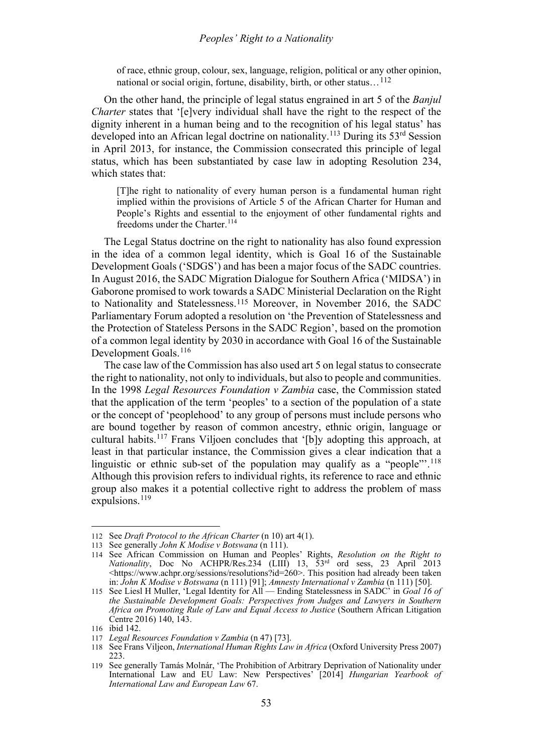#### *Peoples' Right to a Nationality*

of race, ethnic group, colour, sex, language, religion, political or any other opinion, national or social origin, fortune, disability, birth, or other status…[112](#page-20-0)

On the other hand, the principle of legal status engrained in art 5 of the *Banjul Charter* states that '[e]very individual shall have the right to the respect of the dignity inherent in a human being and to the recognition of his legal status' has developed into an African legal doctrine on nationality.<sup>[113](#page-20-1)</sup> During its 53<sup>rd</sup> Session in April 2013, for instance, the Commission consecrated this principle of legal status, which has been substantiated by case law in adopting Resolution 234, which states that:

[T]he right to nationality of every human person is a fundamental human right implied within the provisions of Article 5 of the African Charter for Human and People's Rights and essential to the enjoyment of other fundamental rights and freedoms under the Charter.<sup>[114](#page-20-2)</sup>

The Legal Status doctrine on the right to nationality has also found expression in the idea of a common legal identity, which is Goal 16 of the Sustainable Development Goals ('SDGS') and has been a major focus of the SADC countries. In August 2016, the SADC Migration Dialogue for Southern Africa ('MIDSA') in Gaborone promised to work towards a SADC Ministerial Declaration on the Right to Nationality and Statelessness.[115](#page-20-3) Moreover, in November 2016, the SADC Parliamentary Forum adopted a resolution on 'the Prevention of Statelessness and the Protection of Stateless Persons in the SADC Region', based on the promotion of a common legal identity by 2030 in accordance with Goal 16 of the Sustainable Development Goals.<sup>[116](#page-20-4)</sup>

The case law of the Commission has also used art 5 on legal status to consecrate the right to nationality, not only to individuals, but also to people and communities. In the 1998 *Legal Resources Foundation v Zambia* case, the Commission stated that the application of the term 'peoples' to a section of the population of a state or the concept of 'peoplehood' to any group of persons must include persons who are bound together by reason of common ancestry, ethnic origin, language or cultural habits.[117](#page-20-5) Frans Viljoen concludes that '[b]y adopting this approach, at least in that particular instance, the Commission gives a clear indication that a linguistic or ethnic sub-set of the population may qualify as a "people"'.<sup>[118](#page-20-6)</sup> Although this provision refers to individual rights, its reference to race and ethnic group also makes it a potential collective right to address the problem of mass expulsions.<sup>[119](#page-20-7)</sup>

<span id="page-20-0"></span><sup>112</sup> See *Draft Protocol to the African Charter* (n [10\)](#page-2-6) art 4(1).

<span id="page-20-2"></span><span id="page-20-1"></span><sup>113</sup> See generally *John K Modise v Botswana* (n [111\)](#page-19-4).

<sup>114</sup> See African Commission on Human and Peoples' Rights, *Resolution on the Right to Nationality*, Doc No ACHPR/Res.234 (LIII) 13, 53rd ord sess, 23 April 2013 <https://www.achpr.org/sessions/resolutions?id=260>. This position had already been taken in: *John K Modise v Botswana* ([n 111\)](#page-19-4) [91]; *Amnesty International v Zambia* (n [111\)](#page-19-4) [50].

<span id="page-20-3"></span><sup>115</sup> See Liesl H Muller, 'Legal Identity for All — Ending Statelessness in SADC' in *Goal 16 of the Sustainable Development Goals: Perspectives from Judges and Lawyers in Southern Africa on Promoting Rule of Law and Equal Access to Justice* (Southern African Litigation Centre 2016) 140, 143.

<sup>116</sup> ibid 142.

<span id="page-20-6"></span><span id="page-20-5"></span><span id="page-20-4"></span><sup>117</sup> *Legal Resources Foundation v Zambia* (n [47\)](#page-9-7) [73].

<sup>118</sup> See Frans Viljeon, *International Human Rights Law in Africa* (Oxford University Press 2007)  $223$ 

<span id="page-20-7"></span><sup>119</sup> See generally Tamás Molnár, 'The Prohibition of Arbitrary Deprivation of Nationality under International Law and EU Law: New Perspectives' [2014] *Hungarian Yearbook of International Law and European Law* 67.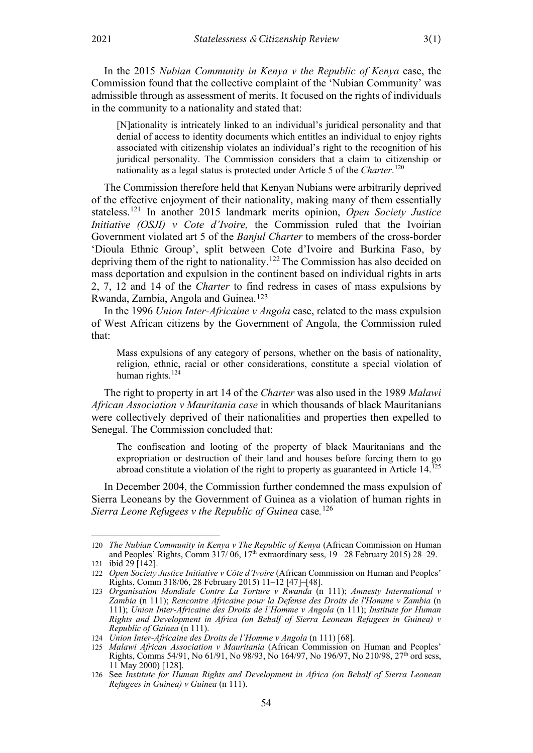In the 2015 *Nubian Community in Kenya v the Republic of Kenya* case, the Commission found that the collective complaint of the 'Nubian Community' was admissible through as assessment of merits. It focused on the rights of individuals in the community to a nationality and stated that:

[N]ationality is intricately linked to an individual's juridical personality and that denial of access to identity documents which entitles an individual to enjoy rights associated with citizenship violates an individual's right to the recognition of his juridical personality. The Commission considers that a claim to citizenship or nationality as a legal status is protected under Article 5 of the *Charter*. [120](#page-21-0)

The Commission therefore held that Kenyan Nubians were arbitrarily deprived of the effective enjoyment of their nationality, making many of them essentially stateless.[121](#page-21-1) In another 2015 landmark merits opinion, *Open Society Justice Initiative (OSJI) v Cote d'Ivoire,* the Commission ruled that the Ivoirian Government violated art 5 of the *Banjul Charter* to members of the cross-border 'Dioula Ethnic Group', split between Cote d'Ivoire and Burkina Faso, by depriving them of the right to nationality.[122](#page-21-2) The Commission has also decided on mass deportation and expulsion in the continent based on individual rights in arts 2, 7, 12 and 14 of the *Charter* to find redress in cases of mass expulsions by Rwanda, Zambia, Angola and Guinea.[123](#page-21-3)

In the 1996 *Union Inter-Africaine v Angola* case, related to the mass expulsion of West African citizens by the Government of Angola, the Commission ruled that:

Mass expulsions of any category of persons, whether on the basis of nationality, religion, ethnic, racial or other considerations, constitute a special violation of human rights. $124$ 

The right to property in art 14 of the *Charter* was also used in the 1989 *Malawi African Association v Mauritania case* in which thousands of black Mauritanians were collectively deprived of their nationalities and properties then expelled to Senegal. The Commission concluded that:

The confiscation and looting of the property of black Mauritanians and the expropriation or destruction of their land and houses before forcing them to go abroad constitute a violation of the right to property as guaranteed in Article 14.<sup>[125](#page-21-5)</sup>

In December 2004, the Commission further condemned the mass expulsion of Sierra Leoneans by the Government of Guinea as a violation of human rights in *Sierra Leone Refugees v the Republic of Guinea* case*.* [126](#page-21-6)

<span id="page-21-0"></span><sup>120</sup> *The Nubian Community in Kenya v The Republic of Kenya* (African Commission on Human and Peoples' Rights, Comm  $317/06$ ,  $17<sup>th</sup>$  extraordinary sess,  $19 - 28$  February 2015) 28–29. 121 ibid 29 [142].

<span id="page-21-2"></span><span id="page-21-1"></span><sup>122</sup> *Open Society Justice Initiative v Côte d'Ivoire* (African Commission on Human and Peoples' Rights, Comm 318/06, 28 February 2015) 11–12 [47]–[48].

<span id="page-21-3"></span><sup>123</sup> *Organisation Mondiale Contre La Torture v Rwanda* (n [111\)](#page-19-4); *Amnesty International v Zambia* (n [111\)](#page-19-4); *Rencontre Africaine pour la Defense des Droits de l'Homme v Zambia* (n [111\)](#page-19-4); *Union Inter-Africaine des Droits de l'Homme v Angola* (n [111\)](#page-19-4); *Institute for Human Rights and Development in Africa (on Behalf of Sierra Leonean Refugees in Guinea) v Republic of Guinea* (n [111\)](#page-19-4).

<span id="page-21-5"></span><span id="page-21-4"></span><sup>124</sup> *Union Inter-Africaine des Droits de l'Homme v Angola* ([n 111\)](#page-19-4) [68].

<sup>125</sup> *Malawi African Association v Mauritania* (African Commission on Human and Peoples' Rights, Comms 54/91, No 61/91, No 98/93, No 164/97, No 196/97, No 210/98, 27<sup>th</sup> ord sess, 11 May 2000) [128].

<span id="page-21-6"></span><sup>126</sup> See *Institute for Human Rights and Development in Africa (on Behalf of Sierra Leonean Refugees in Guinea) v Guinea* ([n 111\)](#page-19-4).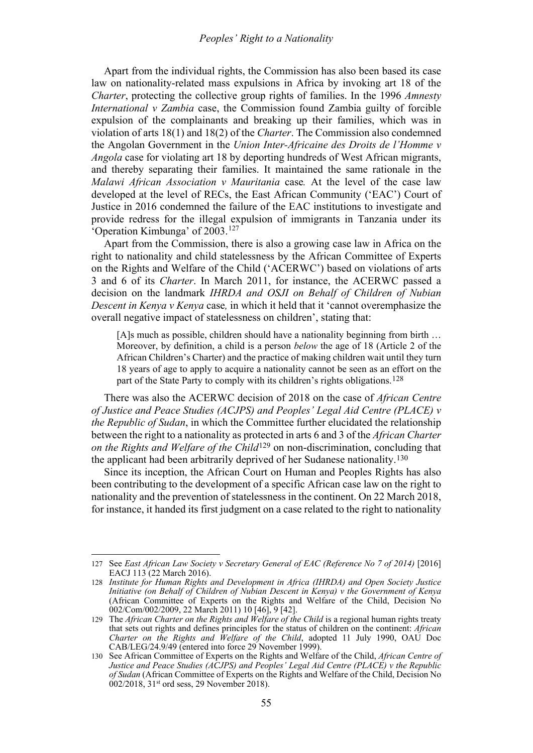Apart from the individual rights, the Commission has also been based its case law on nationality-related mass expulsions in Africa by invoking art 18 of the *Charter*, protecting the collective group rights of families. In the 1996 *Amnesty International v Zambia* case, the Commission found Zambia guilty of forcible expulsion of the complainants and breaking up their families, which was in violation of arts 18(1) and 18(2) of the *Charter*. The Commission also condemned the Angolan Government in the *Union Inter-Africaine des Droits de l'Homme v Angola* case for violating art 18 by deporting hundreds of West African migrants, and thereby separating their families. It maintained the same rationale in the *Malawi African Association v Mauritania* case*.* At the level of the case law developed at the level of RECs, the East African Community ('EAC') Court of Justice in 2016 condemned the failure of the EAC institutions to investigate and provide redress for the illegal expulsion of immigrants in Tanzania under its 'Operation Kimbunga' of 2003.[127](#page-22-0)

Apart from the Commission, there is also a growing case law in Africa on the right to nationality and child statelessness by the African Committee of Experts on the Rights and Welfare of the Child ('ACERWC') based on violations of arts 3 and 6 of its *Charter*. In March 2011, for instance, the ACERWC passed a decision on the landmark *IHRDA and OSJI on Behalf of Children of Nubian Descent in Kenya v Kenya* case*,* in which it held that it 'cannot overemphasize the overall negative impact of statelessness on children', stating that:

[A]s much as possible, children should have a nationality beginning from birth ... Moreover, by definition, a child is a person *below* the age of 18 (Article 2 of the African Children's Charter) and the practice of making children wait until they turn 18 years of age to apply to acquire a nationality cannot be seen as an effort on the part of the State Party to comply with its children's rights obligations.<sup>[128](#page-22-1)</sup>

There was also the ACERWC decision of 2018 on the case of *African Centre of Justice and Peace Studies (ACJPS) and Peoples' Legal Aid Centre (PLACE) v the Republic of Sudan*, in which the Committee further elucidated the relationship between the right to a nationality as protected in arts 6 and 3 of the *African Charter on the Rights and Welfare of the Child*[129](#page-22-2) on non-discrimination, concluding that the applicant had been arbitrarily deprived of her Sudanese nationality.[130](#page-22-3)

Since its inception, the African Court on Human and Peoples Rights has also been contributing to the development of a specific African case law on the right to nationality and the prevention of statelessness in the continent. On 22 March 2018, for instance, it handed its first judgment on a case related to the right to nationality

<span id="page-22-0"></span><sup>127</sup> See *East African Law Society v Secretary General of EAC (Reference No 7 of 2014)* [2016] EACJ 113 (22 March 2016).

<span id="page-22-1"></span><sup>128</sup> *Institute for Human Rights and Development in Africa (IHRDA) and Open Society Justice Initiative (on Behalf of Children of Nubian Descent in Kenya) v the Government of Kenya* (African Committee of Experts on the Rights and Welfare of the Child, Decision No 002/Com/002/2009, 22 March 2011) 10 [46], 9 [42].

<span id="page-22-2"></span><sup>129</sup> The *African Charter on the Rights and Welfare of the Child* is a regional human rights treaty that sets out rights and defines principles for the status of children on the continent: *African Charter on the Rights and Welfare of the Child*, adopted 11 July 1990, OAU Doc CAB/LEG/24.9/49 (entered into force 29 November 1999).

<span id="page-22-3"></span><sup>130</sup> See African Committee of Experts on the Rights and Welfare of the Child, *African Centre of Justice and Peace Studies (ACJPS) and Peoples' Legal Aid Centre (PLACE) v the Republic of Sudan* (African Committee of Experts on the Rights and Welfare of the Child, Decision No 002/2018, 31<sup>st</sup> ord sess, 29 November 2018).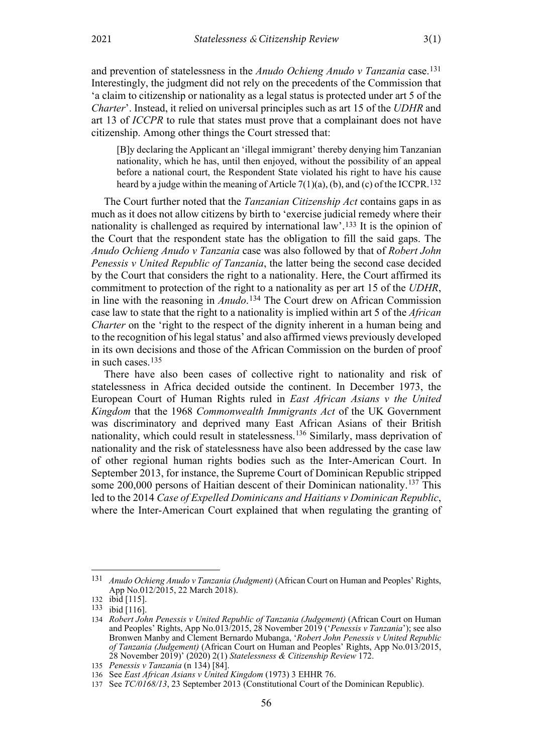and prevention of statelessness in the *Anudo Ochieng Anudo v Tanzania* case.[131](#page-23-1) Interestingly, the judgment did not rely on the precedents of the Commission that 'a claim to citizenship or nationality as a legal status is protected under art 5 of the *Charter*'. Instead, it relied on universal principles such as art 15 of the *UDHR* and art 13 of *ICCPR* to rule that states must prove that a complainant does not have citizenship. Among other things the Court stressed that:

[B]y declaring the Applicant an 'illegal immigrant' thereby denying him Tanzanian nationality, which he has, until then enjoyed, without the possibility of an appeal before a national court, the Respondent State violated his right to have his cause heard by a judge within the meaning of Article  $7(1)(a)$ , (b), and (c) of the ICCPR.<sup>[132](#page-23-2)</sup>

The Court further noted that the *Tanzanian Citizenship Act* contains gaps in as much as it does not allow citizens by birth to 'exercise judicial remedy where their nationality is challenged as required by international law'.[133](#page-23-3) It is the opinion of the Court that the respondent state has the obligation to fill the said gaps. The *Anudo Ochieng Anudo v Tanzania* case was also followed by that of *Robert John Penessis v United Republic of Tanzania*, the latter being the second case decided by the Court that considers the right to a nationality. Here, the Court affirmed its commitment to protection of the right to a nationality as per art 15 of the *UDHR*, in line with the reasoning in *Anudo*.[134](#page-23-4) The Court drew on African Commission case law to state that the right to a nationality is implied within art 5 of the *African Charter* on the 'right to the respect of the dignity inherent in a human being and to the recognition of his legal status' and also affirmed views previously developed in its own decisions and those of the African Commission on the burden of proof in such cases.[135](#page-23-5)

<span id="page-23-0"></span>There have also been cases of collective right to nationality and risk of statelessness in Africa decided outside the continent. In December 1973, the European Court of Human Rights ruled in *East African Asians v the United Kingdom* that the 1968 *Commonwealth Immigrants Act* of the UK Government was discriminatory and deprived many East African Asians of their British nationality, which could result in statelessness.[136](#page-23-6) Similarly, mass deprivation of nationality and the risk of statelessness have also been addressed by the case law of other regional human rights bodies such as the Inter-American Court. In September 2013, for instance, the Supreme Court of Dominican Republic stripped some 200,000 persons of Haitian descent of their Dominican nationality.<sup>[137](#page-23-7)</sup> This led to the 2014 *Case of Expelled Dominicans and Haitians v Dominican Republic*, where the Inter-American Court explained that when regulating the granting of

<span id="page-23-1"></span><sup>131</sup> *Anudo Ochieng Anudo v Tanzania (Judgment)* (African Court on Human and Peoples' Rights, App No.012/2015, 22 March 2018).

<span id="page-23-2"></span><sup>132</sup> ibid [115].

<span id="page-23-3"></span><sup>133</sup> ibid [116].

<span id="page-23-4"></span><sup>134</sup> *Robert John Penessis v United Republic of Tanzania (Judgement)* (African Court on Human and Peoples' Rights, App No.013/2015, 28 November 2019 ('*Penessis v Tanzania*'); see also Bronwen Manby and Clement Bernardo Mubanga, '*Robert John Penessis v United Republic of Tanzania (Judgement)* (African Court on Human and Peoples' Rights, App No.013/2015, 28 November 2019)' (2020) 2(1) *Statelessness & Citizenship Review* 172.

<span id="page-23-5"></span><sup>135</sup> *Penessis v Tanzania* (n [134\)](#page-23-0) [84].

<span id="page-23-7"></span><span id="page-23-6"></span><sup>136</sup> See *East African Asians v United Kingdom* (1973) 3 EHHR 76.

<sup>137</sup> See *TC/0168/13*, 23 September 2013 (Constitutional Court of the Dominican Republic).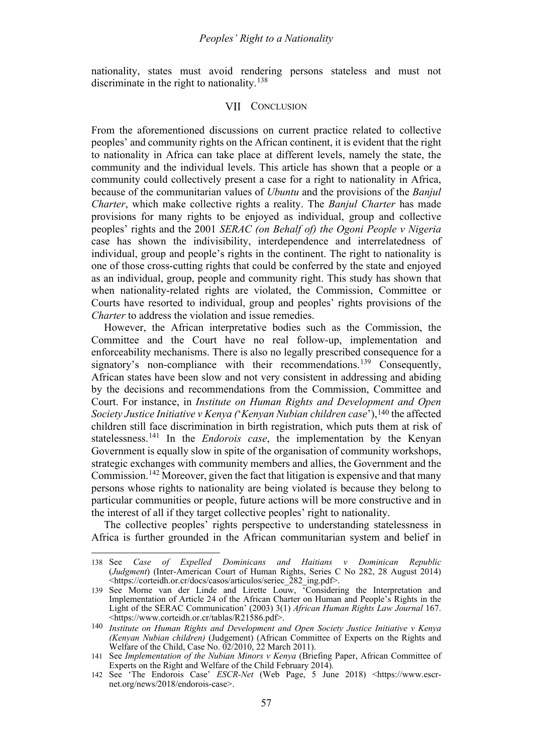<span id="page-24-0"></span>nationality, states must avoid rendering persons stateless and must not discriminate in the right to nationality.<sup>[138](#page-24-1)</sup>

#### VII CONCLUSION

From the aforementioned discussions on current practice related to collective peoples' and community rights on the African continent, it is evident that the right to nationality in Africa can take place at different levels, namely the state, the community and the individual levels. This article has shown that a people or a community could collectively present a case for a right to nationality in Africa, because of the communitarian values of *Ubuntu* and the provisions of the *Banjul Charter*, which make collective rights a reality. The *Banjul Charter* has made provisions for many rights to be enjoyed as individual, group and collective peoples' rights and the 2001 *SERAC (on Behalf of) the Ogoni People v Nigeria* case has shown the indivisibility, interdependence and interrelatedness of individual, group and people's rights in the continent. The right to nationality is one of those cross-cutting rights that could be conferred by the state and enjoyed as an individual, group, people and community right. This study has shown that when nationality-related rights are violated, the Commission, Committee or Courts have resorted to individual, group and peoples' rights provisions of the *Charter* to address the violation and issue remedies.

However, the African interpretative bodies such as the Commission, the Committee and the Court have no real follow-up, implementation and enforceability mechanisms. There is also no legally prescribed consequence for a signatory's non-compliance with their recommendations.<sup>[139](#page-24-2)</sup> Consequently, African states have been slow and not very consistent in addressing and abiding by the decisions and recommendations from the Commission, Committee and Court. For instance, in *Institute on Human Rights and Development and Open Society Justice Initiative v Kenya (*'*Kenyan Nubian children case*'),[140](#page-24-3) the affected children still face discrimination in birth registration, which puts them at risk of statelessness.[141](#page-24-4) In the *Endorois case*, the implementation by the Kenyan Government is equally slow in spite of the organisation of community workshops, strategic exchanges with community members and allies, the Government and the Commission.<sup>[142](#page-24-5)</sup> Moreover, given the fact that litigation is expensive and that many persons whose rights to nationality are being violated is because they belong to particular communities or people, future actions will be more constructive and in the interest of all if they target collective peoples' right to nationality.

The collective peoples' rights perspective to understanding statelessness in Africa is further grounded in the African communitarian system and belief in

<span id="page-24-1"></span><sup>138</sup> See *Case of Expelled Dominicans and Haitians v Dominican Republic* (*Judgment*) (Inter-American Court of Human Rights, Series C No 282, 28 August 2014) [<https://corteidh.or.cr/docs/casos/articulos/seriec\\_282\\_ing.pdf>](https://corteidh.or.cr/docs/casos/articulos/seriec_282_ing.pdf).

<span id="page-24-2"></span><sup>139</sup> See Morne van der Linde and Lirette Louw, <sup>T</sup>Considering the Interpretation and Implementation of Article 24 of the African Charter on Human and People's Rights in the Light of the SERAC Communication' (2003) 3(1) *African Human Rights Law Journal* 167. [<https://www.corteidh.or.cr/tablas/R21586.pdf>](https://www.corteidh.or.cr/tablas/R21586.pdf).

<span id="page-24-3"></span><sup>140</sup> *Institute on Human Rights and Development and Open Society Justice Initiative v Kenya (Kenyan Nubian children)* (Judgement) (African Committee of Experts on the Rights and Welfare of the Child, Case No. 02/2010, 22 March 2011).

<span id="page-24-4"></span><sup>141</sup> See *Implementation of the Nubian Minors v Kenya* (Briefing Paper, African Committee of Experts on the Right and Welfare of the Child February 2014).

<span id="page-24-5"></span><sup>142</sup> See 'The Endorois Case' *ESCR-Net* (Web Page, 5 June 2018) <https://www.escrnet.org/news/2018/endorois-case>.